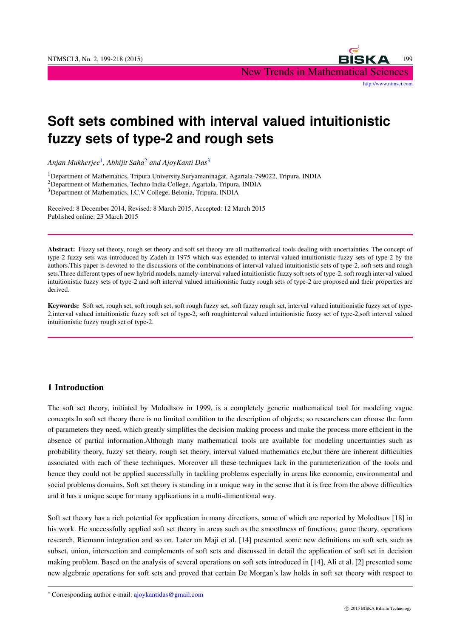

# **Soft sets combined with interval valued intuitionistic fuzzy sets of type-2 and rough sets**

*Anjan Mukherjee*<sup>1</sup> *, Abhijit Saha*<sup>2</sup> *and AjoyKanti Das*<sup>3</sup>

<sup>1</sup>Department of Mathematics, Tripura University,Suryamaninagar, Agartala-799022, Tripura, INDIA

<sup>2</sup>Department of Mathematics, Techno India College, Agartala, Tripura, INDIA

<sup>3</sup>Department of Mathematics, I.C.V College, Belonia, Tripura, INDIA

Received: 8 December 2014, Revised: 8 March 2015, Accepted: 12 March 2015 Published online: 23 March 2015

Abstract: Fuzzy set theory, rough set theory and soft set theory are all mathematical tools dealing with uncertainties. The concept of type-2 fuzzy sets was introduced by Zadeh in 1975 which was extended to interval valued intuitionistic fuzzy sets of type-2 by the authors.This paper is devoted to the discussions of the combinations of interval valued intuitionistic sets of type-2, soft sets and rough sets.Three different types of new hybrid models, namely-interval valued intuitionistic fuzzy soft sets of type-2, soft rough interval valued intuitionistic fuzzy sets of type-2 and soft interval valued intuitionistic fuzzy rough sets of type-2 are proposed and their properties are derived.

Keywords: Soft set, rough set, soft rough set, soft rough fuzzy set, soft fuzzy rough set, interval valued intuitionistic fuzzy set of type-2,interval valued intuitionistic fuzzy soft set of type-2, soft roughinterval valued intuitionistic fuzzy set of type-2,soft interval valued intuitionistic fuzzy rough set of type-2.

# 1 Introduction

The soft set theory, initiated by Molodtsov in 1999, is a completely generic mathematical tool for modeling vague concepts.In soft set theory there is no limited condition to the description of objects; so researchers can choose the form of parameters they need, which greatly simplifies the decision making process and make the process more efficient in the absence of partial information.Although many mathematical tools are available for modeling uncertainties such as probability theory, fuzzy set theory, rough set theory, interval valued mathematics etc,but there are inherent difficulties associated with each of these techniques. Moreover all these techniques lack in the parameterization of the tools and hence they could not be applied successfully in tackling problems especially in areas like economic, environmental and social problems domains. Soft set theory is standing in a unique way in the sense that it is free from the above difficulties and it has a unique scope for many applications in a multi-dimentional way.

Soft set theory has a rich potential for application in many directions, some of which are reported by Molodtsov [18] in his work. He successfully applied soft set theory in areas such as the smoothness of functions, game theory, operations research, Riemann integration and so on. Later on Maji et al. [14] presented some new definitions on soft sets such as subset, union, intersection and complements of soft sets and discussed in detail the application of soft set in decision making problem. Based on the analysis of several operations on soft sets introduced in [14], Ali et al. [2] presented some new algebraic operations for soft sets and proved that certain De Morgan's law holds in soft set theory with respect to

*<sup>∗</sup>* Corresponding author e-mail: ajoykantidas@gmail.com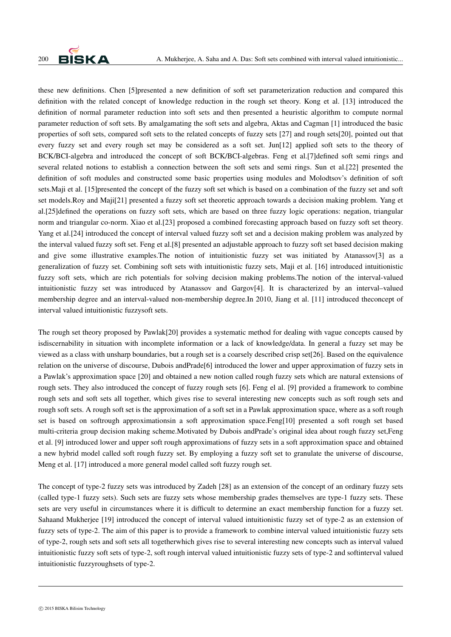

these new definitions. Chen [5]presented a new definition of soft set parameterization reduction and compared this definition with the related concept of knowledge reduction in the rough set theory. Kong et al. [13] introduced the definition of normal parameter reduction into soft sets and then presented a heuristic algorithm to compute normal parameter reduction of soft sets. By amalgamating the soft sets and algebra, Aktas and Cagman [1] introduced the basic properties of soft sets, compared soft sets to the related concepts of fuzzy sets [27] and rough sets[20], pointed out that every fuzzy set and every rough set may be considered as a soft set. Jun[12] applied soft sets to the theory of BCK/BCI-algebra and introduced the concept of soft BCK/BCI-algebras. Feng et al.[7]defined soft semi rings and several related notions to establish a connection between the soft sets and semi rings. Sun et al.[22] presented the definition of soft modules and constructed some basic properties using modules and Molodtsov's definition of soft sets.Maji et al. [15]presented the concept of the fuzzy soft set which is based on a combination of the fuzzy set and soft set models.Roy and Maji[21] presented a fuzzy soft set theoretic approach towards a decision making problem. Yang et al.[25]defined the operations on fuzzy soft sets, which are based on three fuzzy logic operations: negation, triangular norm and triangular co-norm. Xiao et al.[23] proposed a combined forecasting approach based on fuzzy soft set theory. Yang et al.[24] introduced the concept of interval valued fuzzy soft set and a decision making problem was analyzed by the interval valued fuzzy soft set. Feng et al.[8] presented an adjustable approach to fuzzy soft set based decision making and give some illustrative examples.The notion of intuitionistic fuzzy set was initiated by Atanassov[3] as a generalization of fuzzy set. Combining soft sets with intuitionistic fuzzy sets, Maji et al. [16] introduced intuitionistic fuzzy soft sets, which are rich potentials for solving decision making problems.The notion of the interval-valued intuitionistic fuzzy set was introduced by Atanassov and Gargov[4]. It is characterized by an interval–valued membership degree and an interval-valued non-membership degree.In 2010, Jiang et al. [11] introduced theconcept of interval valued intuitionistic fuzzysoft sets.

The rough set theory proposed by Pawlak[20] provides a systematic method for dealing with vague concepts caused by isdiscernability in situation with incomplete information or a lack of knowledge/data. In general a fuzzy set may be viewed as a class with unsharp boundaries, but a rough set is a coarsely described crisp set[26]. Based on the equivalence relation on the universe of discourse, Dubois andPrade[6] introduced the lower and upper approximation of fuzzy sets in a Pawlak's approximation space [20] and obtained a new notion called rough fuzzy sets which are natural extensions of rough sets. They also introduced the concept of fuzzy rough sets [6]. Feng el al. [9] provided a framework to combine rough sets and soft sets all together, which gives rise to several interesting new concepts such as soft rough sets and rough soft sets. A rough soft set is the approximation of a soft set in a Pawlak approximation space, where as a soft rough set is based on softrough approximationsin a soft approximation space.Feng[10] presented a soft rough set based multi-criteria group decision making scheme.Motivated by Dubois andPrade's original idea about rough fuzzy set,Feng et al. [9] introduced lower and upper soft rough approximations of fuzzy sets in a soft approximation space and obtained a new hybrid model called soft rough fuzzy set. By employing a fuzzy soft set to granulate the universe of discourse, Meng et al. [17] introduced a more general model called soft fuzzy rough set.

The concept of type-2 fuzzy sets was introduced by Zadeh [28] as an extension of the concept of an ordinary fuzzy sets (called type-1 fuzzy sets). Such sets are fuzzy sets whose membership grades themselves are type-1 fuzzy sets. These sets are very useful in circumstances where it is difficult to determine an exact membership function for a fuzzy set. Sahaand Mukherjee [19] introduced the concept of interval valued intuitionistic fuzzy set of type-2 as an extension of fuzzy sets of type-2. The aim of this paper is to provide a framework to combine interval valued intuitionistic fuzzy sets of type-2, rough sets and soft sets all togetherwhich gives rise to several interesting new concepts such as interval valued intuitionistic fuzzy soft sets of type-2, soft rough interval valued intuitionistic fuzzy sets of type-2 and softinterval valued intuitionistic fuzzyroughsets of type-2.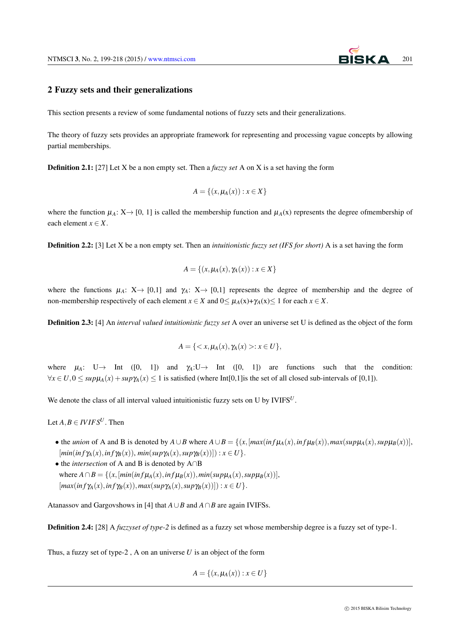

## 2 Fuzzy sets and their generalizations

This section presents a review of some fundamental notions of fuzzy sets and their generalizations.

The theory of fuzzy sets provides an appropriate framework for representing and processing vague concepts by allowing partial memberships.

Definition 2.1: [27] Let X be a non empty set. Then a *fuzzy set* A on X is a set having the form

$$
A = \{(x, \mu_A(x)) : x \in X\}
$$

where the function  $\mu_A: X \to [0, 1]$  is called the membership function and  $\mu_A(x)$  represents the degree ofmembership of each element  $x \in X$ .

Definition 2.2: [3] Let X be a non empty set. Then an *intuitionistic fuzzy set (IFS for short)* A is a set having the form

$$
A = \{(x, \mu_A(x), \gamma_A(x)) : x \in X\}
$$

where the functions  $\mu_A: X \to [0,1]$  and  $\gamma_A: X \to [0,1]$  represents the degree of membership and the degree of non-membership respectively of each element  $x \in X$  and  $0 \leq \mu_A(x) + \gamma_A(x) \leq 1$  for each  $x \in X$ .

Definition 2.3: [4] An *interval valued intuitionistic fuzzy set* A over an universe set U is defined as the object of the form

$$
A = \{ \langle x, \mu_A(x), \gamma_A(x) \rangle : x \in U \},
$$

where  $\mu_A$ : U → Int ([0, 1]) and  $\gamma_A: U \rightarrow$  Int ([0, 1]) are functions such that the condition:  $\forall x \in U, 0 \leq supp\mu_A(x) + supp\mu_B(x) \leq 1$  is satisfied (where Int[0,1] is the set of all closed sub-intervals of [0,1]).

We denote the class of all interval valued intuitionistic fuzzy sets on U by IVIFS<sup>U</sup>.

Let  $A, B \in IVIFS^U$ . Then

• the *union* of A and B is denoted by  $A \cup B$  where  $A \cup B = \{(x, [max(int\mu_A(x), inf\mu_B(x)), max(sup\mu_A(x), supp_B(x))],$  $[\min(\inf \gamma_A(x), \inf \gamma_B(x)), \min(\sup \gamma_A(x), \sup \gamma_B(x))]: x \in U$ .

*•* the *intersection* of A and B is denoted by A*∩*B where  $A \cap B = \{(x, [min (inf \mu_A(x), inf \mu_B(x)), min(supp \mu_A(x), supp \mu_B(x))],$  $\{max(inf\gamma_A(x), inf\gamma_B(x)), max(sup\gamma_A(x), sup\gamma_B(x))\}$ :  $x \in U\}$ .

Atanassov and Gargovshows in [4] that *A∪B* and *A∩B* are again IVIFSs.

Definition 2.4: [28] A *fuzzyset of type-2* is defined as a fuzzy set whose membership degree is a fuzzy set of type-1.

Thus, a fuzzy set of type-2 , A on an universe *U* is an object of the form

$$
A = \{(x, \mu_A(x)) : x \in U\}
$$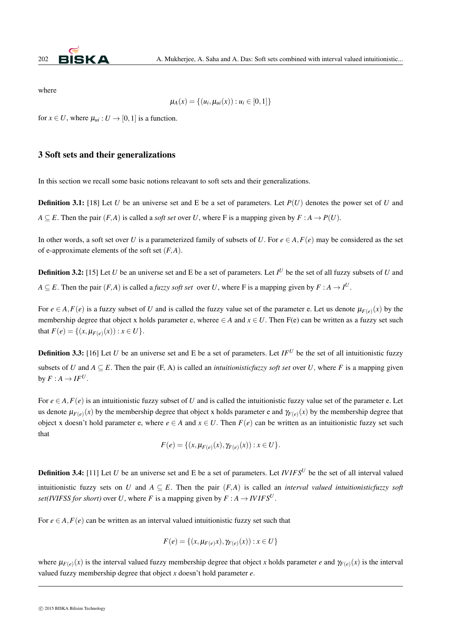

where

$$
\mu_A(x) = \{(u_i, \mu_{ui}(x)) : u_i \in [0,1]\}
$$

for  $x \in U$ , where  $\mu_{ui}: U \to [0,1]$  is a function.

## 3 Soft sets and their generalizations

In this section we recall some basic notions releavant to soft sets and their generalizations.

**Definition 3.1:** [18] Let *U* be an universe set and E be a set of parameters. Let  $P(U)$  denotes the power set of *U* and *A*  $\subseteq$  *E*. Then the pair  $(F, A)$  is called a *soft set* over *U*, where *F* is a mapping given by  $F : A \rightarrow P(U)$ .

In other words, a soft set over *U* is a parameterized family of subsets of *U*. For  $e \in A$ ,  $F(e)$  may be considered as the set of e-approximate elements of the soft set (*F,A*).

Definition 3.2: [15] Let *U* be an universe set and E be a set of parameters. Let *I <sup>U</sup>* be the set of all fuzzy subsets of *U* and *A*  $\subseteq$  *E*. Then the pair  $(F, A)$  is called a *fuzzy soft set* over *U*, where F is a mapping given by  $F : A \to I^U$ .

For  $e \in A$ ,  $F(e)$  is a fuzzy subset of *U* and is called the fuzzy value set of the parameter e. Let us denote  $\mu_{F(e)}(x)$  by the membership degree that object x holds parameter e, wheree  $\in$  *A* and  $x \in U$ . Then F(e) can be written as a fuzzy set such that  $F(e) = \{(x, \mu_{F(e)}(x)) : x \in U\}.$ 

**Definition 3.3:** [16] Let *U* be an universe set and E be a set of parameters. Let  $IF^U$  be the set of all intuitionistic fuzzy subsets of *U* and  $A \subseteq E$ . Then the pair (F, A) is called an *intuitionisticfuzzy soft set* over *U*, where *F* is a mapping given by  $F: A \rightarrow IF^U$ .

For  $e \in A$ ,  $F(e)$  is an intuitionistic fuzzy subset of *U* and is called the intuitionistic fuzzy value set of the parameter e. Let us denote  $\mu_{F(e)}(x)$  by the membership degree that object x holds parameter e and  $\gamma_{F(e)}(x)$  by the membership degree that object x doesn't hold parameter e, where  $e \in A$  and  $x \in U$ . Then  $F(e)$  can be written as an intuitionistic fuzzy set such that

$$
F(e) = \{(x, \mu_{F(e)}(x), \gamma_{F(e)}(x)) : x \in U\}.
$$

Definition 3.4: [11] Let *U* be an universe set and E be a set of parameters. Let *IV IFS<sup>U</sup>* be the set of all interval valued intuitionistic fuzzy sets on *U* and  $A \subseteq E$ . Then the pair  $(F, A)$  is called an *interval valued intuitionisticfuzzy soft set(IVIFSS for short)* over *U*, where *F* is a mapping given by  $F : A \rightarrow I V I F S^U$ .

For  $e \in A$ ,  $F(e)$  can be written as an interval valued intuitionistic fuzzy set such that

$$
F(e) = \{(x, \mu_{F(e)}x), \gamma_{F(e)}(x)) : x \in U\}
$$

where  $\mu_{F(e)}(x)$  is the interval valued fuzzy membership degree that object *x* holds parameter *e* and  $\gamma_{F(e)}(x)$  is the interval valued fuzzy membership degree that object *x* doesn't hold parameter *e.*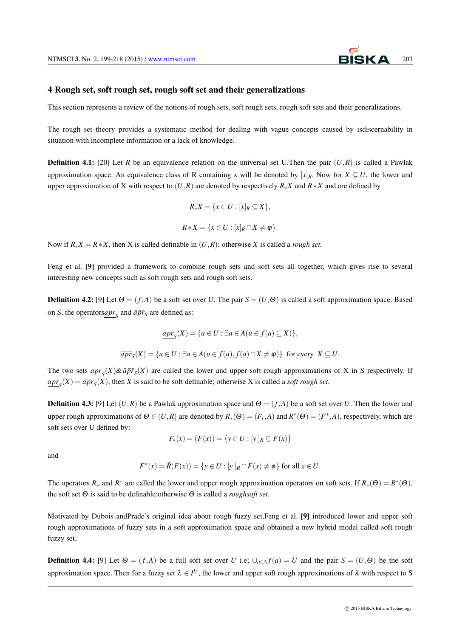#### 4 Rough set, soft rough set, rough soft set and their generalizations

This section represents a review of the notions of rough sets, soft rough sets, rough soft sets and their generalizations.

The rough set theory provides a systematic method for dealing with vague concepts caused by isdiscernability in situation with incomplete information or a lack of knowledge.

**Definition 4.1:** [20] Let *R* be an equivalence relation on the universal set U.Then the pair  $(U,R)$  is called a Pawlak approximation space. An equivalence class of R containing x will be denoted by  $[x]_R$ . Now for  $X \subseteq U$ , the lower and upper approximation of X with respect to  $(U, R)$  are denoted by respectively  $R_*X$  and  $R*X$  and are defined by

$$
R_*X = \{x \in U : [x]_R \subseteq X\},\
$$

$$
R*X = \{x \in U : [x]_R \cap X \neq \varphi\}.
$$

Now if  $R_*X = R * X$ , then X is called definable in  $(U, R)$ ; otherwise X is called a *rough set*.

Feng et al. [9] provided a framework to combine rough sets and soft sets all together, which gives rise to several interesting new concepts such as soft rough sets and rough soft sets.

**Definition 4.2:** [9] Let  $\Theta = (f, A)$  be a soft set over U. The pair  $S = (U, \Theta)$  is called a soft approximation space. Based on S, the operators $\underline{apr}_S$  and  $\overline{a}\overline{p}\overline{r}_S$  are defined as:

$$
\underline{apr}_S(X) = \{ u \in U : \exists a \in A (u \in f(a) \subseteq X) \},
$$
  

$$
\overline{apr}_S(X) = \{ u \in U : \exists a \in A (u \in f(a), f(a) \cap X \neq \varphi) \} \text{ for every } X \subseteq U.
$$

The two sets  $\underline{apr}_S(X)\&\overline{a}\overline{p}\overline{r}_S(X)$  are called the lower and upper soft rough approximations of X in S respectively. If  $apr_s(X) = \overline{apr}_s(X)$ , then *X* is said to be soft definable; otherwise *X* is called a *soft rough set*.

**Definition 4.3:** [9] Let  $(U, R)$  be a Pawlak approximation space and  $\Theta = (f, A)$  be a soft set over *U*. Then the lower and upper rough approximations of  $\Theta \in (U,R)$  are denoted by  $R_*(\Theta)=(F_*,A)$  and  $R^*(\Theta)=(F^*,A)$ , respectively, which are soft sets over U defined by:

$$
F_*(x) = (F(x)) = \{ y \in U : [y]_R \subseteq F(x) \}
$$

and

$$
F^*(x) = \overline{R}(F(x)) = \{ y \in U : [y]_R \cap F(x) \neq \emptyset \}
$$
 for all  $x \in U$ .

The operators  $R_*$  and  $R^*$  are called the lower and upper rough approximation operators on soft sets. If  $R_*(\Theta) = R^*(\Theta)$ , the soft set <sup>Θ</sup> is said to be definable;otherwise <sup>Θ</sup> is called a *roughsoft set*.

Motivated by Dubois andPrade's original idea about rough fuzzy set,Feng et al. [9] introduced lower and upper soft rough approximations of fuzzy sets in a soft approximation space and obtained a new hybrid model called soft rough fuzzy set.

**Definition 4.4:** [9] Let  $\Theta = (f,A)$  be a full soft set over *U* i.e;  $\bigcup_{a \in A} f(a) = U$  and the pair  $S = (U,\Theta)$  be the soft approximation space. Then for a fuzzy set  $\lambda \in I^U$ , the lower and upper soft rough approximations of  $\lambda$  with respect to S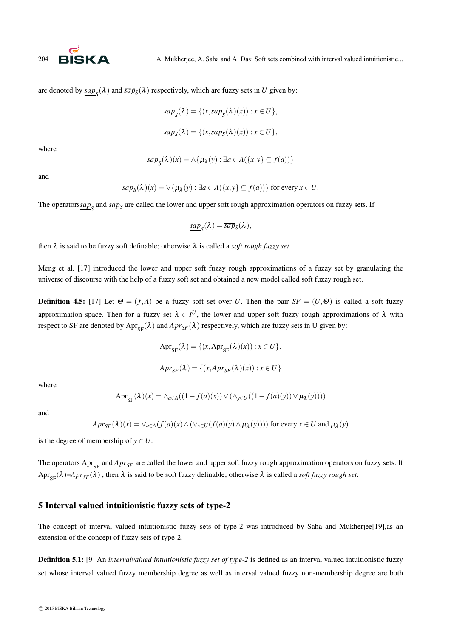are denoted by  $\underline{sup}_S(\lambda)$  and  $\bar{si}\bar{p}_S(\lambda)$  respectively, which are fuzzy sets in *U* given by:

$$
\underline{\sup}_{S}(\lambda) = \{ (x, \underline{\sup}_{S}(\lambda)(x)) : x \in U \},
$$

$$
\overline{\text{sup}}_S(\lambda) = \{ (x, \overline{\text{sup}}_S(\lambda)(x)) : x \in U \},
$$

where

$$
\underline{\sup}_{S}(\lambda)(x) = \wedge \{ \mu_{\lambda}(y) : \exists a \in A(\{x, y\} \subseteq f(a)) \}
$$

and

$$
\overline{\textit{sup}}_S(\lambda)(x) = \vee \{ \mu_\lambda(y) : \exists a \in A(\{x, y\} \subseteq f(a)) \} \text{ for every } x \in U.
$$

The operators $\underline{sup}_S$  and  $\overline{sup}_S$  are called the lower and upper soft rough approximation operators on fuzzy sets. If

$$
\underline{\operatorname{sup}}_{S}(\lambda) = \overline{\operatorname{sup}}_{S}(\lambda),
$$

then  $\lambda$  is said to be fuzzy soft definable; otherwise  $\lambda$  is called a *soft rough fuzzy set*.

Meng et al. [17] introduced the lower and upper soft fuzzy rough approximations of a fuzzy set by granulating the universe of discourse with the help of a fuzzy soft set and obtained a new model called soft fuzzy rough set.

**Definition 4.5:** [17] Let  $\Theta = (f, A)$  be a fuzzy soft set over *U*. Then the pair  $SF = (U, \Theta)$  is called a soft fuzzy approximation space. Then for a fuzzy set  $\lambda \in I^U$ , the lower and upper soft fuzzy rough approximations of  $\lambda$  with respect to SF are denoted by  $\text{Apr}_{\text{SE}}(\lambda)$  and  $\overline{Apr_{\text{SE}}}(\lambda)$  respectively, which are fuzzy sets in U given by:

$$
\underline{\text{Apr}}_{\text{SF}}(\lambda) = \{ (x, \underline{\text{Apr}}_{\text{SF}}(\lambda)(x)) : x \in U \},
$$
\n
$$
\overline{\text{Apr}}_{\text{SF}}(\lambda) = \{ (x, \overline{\text{Apr}}(\lambda)(x)) : x \in U \}
$$

where

$$
\underline{\text{Apr}}_{\text{SF}}(\lambda)(x) = \wedge_{a \in A} ((1 - f(a)(x)) \vee (\wedge_{y \in U} ((1 - f(a)(y)) \vee \mu_{\lambda}(y))))
$$

and

$$
Apr_{SF}(\lambda)(x) = \vee_{a \in A} (f(a)(x) \wedge (\vee_{y \in U} (f(a)(y) \wedge \mu_{\lambda}(y))))
$$
 for every  $x \in U$  and  $\mu_{\lambda}(y)$ 

is the degree of membership of  $y \in U$ .

The operators  $\Delta \text{pr}_{SF}$  and  $\overline{APr}_{SF}$  are called the lower and upper soft fuzzy rough approximation operators on fuzzy sets. If  $\text{Apr}_{\text{SE}}(\lambda) = \text{Apr}_{\text{SF}}(\lambda)$ , then  $\lambda$  is said to be soft fuzzy definable; otherwise  $\lambda$  is called a *soft fuzzy rough set*.

#### 5 Interval valued intuitionistic fuzzy sets of type-2

The concept of interval valued intuitionistic fuzzy sets of type-2 was introduced by Saha and Mukherjee[19],as an extension of the concept of fuzzy sets of type-2.

Definition 5.1: [9] An *intervalvalued intuitionistic fuzzy set of type-2* is defined as an interval valued intuitionistic fuzzy set whose interval valued fuzzy membership degree as well as interval valued fuzzy non-membership degree are both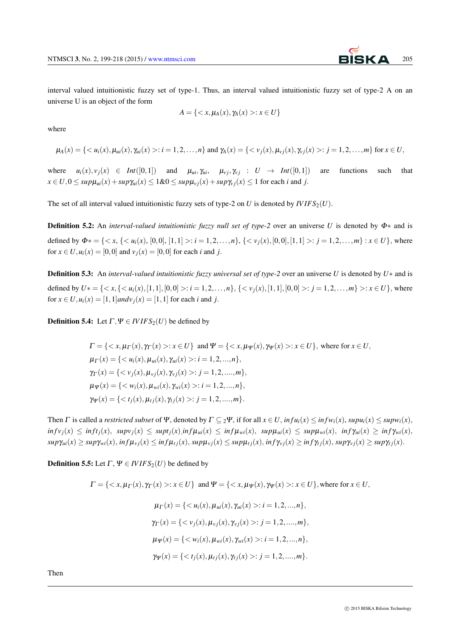interval valued intuitionistic fuzzy set of type-1. Thus, an interval valued intuitionistic fuzzy set of type-2 A on an universe U is an object of the form

$$
A = \{ \langle x, \mu_A(x), \gamma_A(x) \rangle : x \in U \}
$$

where

$$
\mu_A(x) = \{ \langle u_i(x), \mu_{ui}(x), \gamma_{ui}(x) \rangle : i = 1, 2, ..., n \} \text{ and } \gamma_A(x) = \{ \langle v_j(x), \mu_{vj}(x), \gamma_{vj}(x) \rangle : j = 1, 2, ..., m \} \text{ for } x \in U,
$$

where  $u_i(x), v_i(x) \in Int([0,1])$  and  $\mu_{ui}, \gamma_{ui}, \mu_{vi}, \gamma_{ij} : U \to Int([0,1])$  are functions such that  $x \in U$ ,  $0 \leq sup\mu_{ui}(x) + sup\gamma_{ui}(x) \leq 1 \& 0 \leq sup\mu_{vi}(x) + sup\gamma_{vi}(x) \leq 1$  for each i and j.

The set of all interval valued intuitionistic fuzzy sets of type-2 on *U* is denoted by  $IVIFS_2(U)$ .

Definition 5.2: An *interval-valued intuitionistic fuzzy null set of type-2* over an universe *U* is denoted by <sup>Φ</sup>*∗* and is defined by  $\Phi^* = \{ \langle x, \{ \langle u_i(x), [0,0], [1,1] \rangle : i = 1,2,\ldots,n \}, \{ \langle v_i(x), [0,0], [1,1] \rangle : j = 1,2,\ldots,m \} : x \in U \}$ , where for  $x \in U, u_i(x) = [0, 0]$  and  $v_i(x) = [0, 0]$  for each *i* and *j*.

Definition 5.3: An *interval-valued intuitionistic fuzzy universal set of type-2* over an universe *U* is denoted by *U∗* and is defined by  $U^* = \{ \langle x, \{ \langle u_i(x), [1,1], [0,0] \rangle : i = 1,2,\ldots,n \}, \{ \langle v_i(x), [1,1], [0,0] \rangle : j = 1,2,\ldots,m \} \rangle : x \in U \}$ , where for  $x \in U, u_i(x) = [1, 1]$  *andv*  $i_j(x) = [1, 1]$  for each *i* and *j*.

**Definition 5.4:** Let  $\Gamma, \Psi \in IVIFS_2(U)$  be defined by

$$
\Gamma = \{ \langle x, \mu_{\Gamma}(x), \gamma_{\Gamma}(x) \rangle : x \in U \} \text{ and } \Psi = \{ \langle x, \mu_{\Psi}(x), \gamma_{\Psi}(x) \rangle : x \in U \}, \text{ where for } x \in U, \\
\mu_{\Gamma}(x) = \{ \langle u_i(x), \mu_{ui}(x), \gamma_{ui}(x) \rangle : i = 1, 2, ..., n \}, \\
\gamma_{\Gamma}(x) = \{ \langle v_j(x), \mu_{vj}(x), \gamma_{vj}(x) \rangle : j = 1, 2, ..., m \}, \\
\mu_{\Psi}(x) = \{ \langle w_i(x), \mu_{wi}(x), \gamma_{wi}(x) \rangle : i = 1, 2, ..., n \}, \\
\gamma_{\Psi}(x) = \{ \langle t_j(x), \mu_{t_j}(x), \gamma_{t_j}(x) \rangle : j = 1, 2, ..., m \}.
$$

Then  $\Gamma$  is called a *restricted subset* of  $\Psi$ , denoted by  $\Gamma \subset \gamma \Psi$ , if for all  $x \in U$ , in  $fu_i(x) \leq inf_{i}v_i(x)$ ,  $sup_{i}(x) \leq sup_{i}(x)$ ,  $\inf v_j(x) \le \inf f_j(x)$ ,  $sup v_j(x) \le \sup f_j(x)$ ,  $\inf \mu_{ui}(x) \le \inf \mu_{wi}(x)$ ,  $sup \mu_{ui}(x) \le \sup \mu_{wi}(x)$ ,  $\inf \gamma_{ui}(x) \ge \inf \gamma_{wi}(x)$ ,  $sup\gamma_{ui}(x) \geq sup\gamma_{wi}(x)$ ,  $inf\mu_{vj}(x) \leq inf\mu_{tj}(x)$ ,  $sup\mu_{vj}(x) \leq sup\mu_{tj}(x)$ ,  $inf\gamma_{vj}(x) \geq inf\gamma_{tj}(x)$ ,  $sup\gamma_{vj}(x) \geq sup\gamma_{tj}(x)$ .

**Definition 5.5:** Let  $\Gamma$ ,  $\Psi \in \text{IVIFS}_2(U)$  be defined by

$$
\Gamma = \{ \langle x, \mu_{\Gamma}(x), \gamma_{\Gamma}(x) \rangle : x \in U \} \text{ and } \Psi = \{ \langle x, \mu_{\Psi}(x), \gamma_{\Psi}(x) \rangle : x \in U \}, \text{ where for } x \in U,
$$
  

$$
\mu_{\Gamma}(x) = \{ \langle u_i(x), \mu_{ui}(x), \gamma_{ui}(x) \rangle : i = 1, 2, ..., n \},
$$
  

$$
\gamma_{\Gamma}(x) = \{ \langle v_j(x), \mu_{vj}(x), \gamma_{vj}(x) \rangle : j = 1, 2, ..., m \},
$$
  

$$
\mu_{\Psi}(x) = \{ \langle w_i(x), \mu_{wi}(x), \gamma_{wi}(x) \rangle : i = 1, 2, ..., n \},
$$
  

$$
\gamma_{\Psi}(x) = \{ \langle t_j(x), \mu_{tj}(x), \gamma_{tj}(x) \rangle : j = 1, 2, ..., m \}.
$$

Then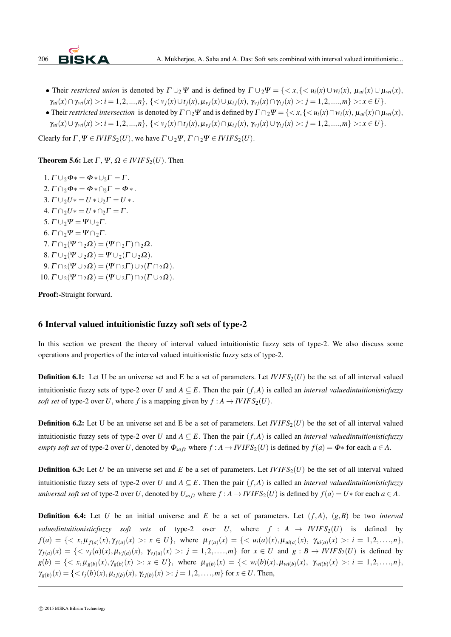

- Their restricted union is denoted by  $\Gamma \cup_{2} \Psi$  and is defined by  $\Gamma \cup_{2} \Psi = \{ \langle x, \{ \langle u_i(x) \cup w_i(x), \mu_{ui}(x) \cup \mu_{wi}(x), \chi_{ui}(x) \rangle \} \rangle$  $\gamma_{ui}(x) \cap \gamma_{wi}(x) >: i = 1, 2, ..., n\}, \{<\nu_j(x) \cup t_j(x), \mu_{\nu_j}(x) \cup \mu_{t_j}(x), \gamma_{\nu_j}(x) \cap \gamma_{t_j}(x) >: j = 1, 2, ..., m\} >: x \in U\}.$
- Their restricted intersection is denoted by  $\Gamma \cap_2 \Psi$  and is defined by  $\Gamma \cap_2 \Psi = \{ \langle x, \{ \langle u_i(x) \cap w_i(x), \mu_{ui}(x) \cap \mu_{wi}(x), \chi_{vu}(x) \rangle \} \rangle$  $\gamma_{ui}(x) \cup \gamma_{wi}(x) >: i = 1, 2, ..., n\}, \{<\nu_j(x) \cap t_j(x), \mu_{\nu_j}(x) \cap \mu_{t_j}(x), \gamma_{\nu_j}(x) \cup \gamma_{t_j}(x) >: j = 1, 2, ..., m\} >: x \in U\}.$

Clearly for  $\Gamma, \Psi \in IVIFS_2(U)$ , we have  $\Gamma \cup_2 \Psi, \Gamma \cap_2 \Psi \in IVIFS_2(U)$ .

**Theorem 5.6:** Let  $\Gamma$ ,  $\Psi$ ,  $\Omega \in IVIFS_2(U)$ . Then

1.  $\Gamma \cup_2 \Phi^* = \Phi^* \cup_2 \Gamma = \Gamma$ .  $2. \Gamma \cap 2\Phi \ast = \Phi \ast \cap 2\Gamma = \Phi \ast 2$ 3.  $\Gamma \cup_2 U^* = U^* \cup_2 \Gamma = U^*$ . 4.  $\Gamma \cap 2U^* = U^* \cap 2\Gamma = \Gamma$ . 5.  $\Gamma \cup \gamma \Psi = \Psi \cup \gamma \Gamma$ . 6.  $\Gamma \cap_2 \Psi = \Psi \cap_2 \Gamma$ .  $7. \Gamma \cap_2(\Psi \cap_2 \Omega) = (\Psi \cap_2 \Gamma) \cap_2 \Omega$ . 8.  $\Gamma \cup_2(\Psi \cup_2 \Omega) = \Psi \cup_2(\Gamma \cup_2 \Omega)$ .  $9. \Gamma \cap_2(\Psi \cup_2 \Omega) = (\Psi \cap_2 \Gamma) \cup_2(\Gamma \cap_2 \Omega).$  $10. \Gamma \cup_2(\Psi \cap_2 \Omega) = (\Psi \cup_2 \Gamma) \cap_2(\Gamma \cup_2 \Omega).$ 

Proof:-Straight forward.

# 6 Interval valued intuitionistic fuzzy soft sets of type-2

In this section we present the theory of interval valued intuitionistic fuzzy sets of type-2. We also discuss some operations and properties of the interval valued intuitionistic fuzzy sets of type-2.

**Definition 6.1:** Let U be an universe set and E be a set of parameters. Let  $IVIFS_2(U)$  be the set of all interval valued intuitionistic fuzzy sets of type-2 over *U* and  $A \subseteq E$ . Then the pair  $(f, A)$  is called an *interval valuedintuitionisticfuzzy soft set* of type-2 over *U*, where *f* is a mapping given by  $f : A \rightarrow IVIFS_2(U)$ .

**Definition 6.2:** Let U be an universe set and E be a set of parameters. Let  $IVIFS_2(U)$  be the set of all interval valued intuitionistic fuzzy sets of type-2 over *U* and  $A \subseteq E$ . Then the pair  $(f, A)$  is called an *interval valuedintuitionisticfuzzy* empty soft set of type-2 over U, denoted by  $\Phi_{soft}$  where  $f : A \to IVIFS_2(U)$  is defined by  $f(a) = \Phi^*$  for each  $a \in A$ .

**Definition 6.3:** Let *U* be an universe set and *E* be a set of parameters. Let  $IVIFS_2(U)$  be the set of all interval valued intuitionistic fuzzy sets of type-2 over *U* and  $A \subseteq E$ . Then the pair  $(f, A)$  is called an *interval valuedintuitionisticfuzzy* universal soft set of type-2 over U, denoted by  $U_{soft}$  where  $f : A \to IVIFS_2(U)$  is defined by  $f(a) = U*$  for each  $a \in A$ .

**Definition 6.4:** Let *U* be an initial universe and *E* be a set of parameters. Let  $(f, A)$ *,*  $(g, B)$  be two *interval valuedintuitionisticfuzzy soft sets* of type-2 over *U*, where  $f : A \rightarrow IVIFS_2(U)$  is defined by  $f(a) = \{ \langle x, \mu_{f(a)}(x), \gamma_{f(a)}(x) \rangle : x \in U \},$  where  $\mu_{f(a)}(x) = \{ \langle u_i(a)(x), \mu_{ui(a)}(x), \gamma_{ui(a)}(x) \rangle : i = 1, 2, \ldots, n \},$  $\gamma_{f(a)}(x) = \{ \langle v_j(a)(x), \mu_{vj(a)}(x), \gamma_{vj(a)}(x) \rangle : j = 1, 2, \ldots, m \}$  for  $x \in U$  and  $g : B \to IVIFS_2(U)$  is defined by  $g(b) = \{ \langle x, \mu_{g(b)}(x), \gamma_{g(b)}(x) \rangle : x \in U \},$  where  $\mu_{g(b)}(x) = \{ \langle w_i(b)(x), \mu_{wi(b)}(x), \gamma_{wi(b)}(x) \rangle : i = 1, 2, ..., n \},$  $\gamma_{g(b)}(x) = \{ \langle t_j(b)(x), \mu_{t_j(b)}(x), \gamma_{t_j(b)}(x) \rangle : j = 1, 2, \dots, m \}$  for  $x \in U$ . Then,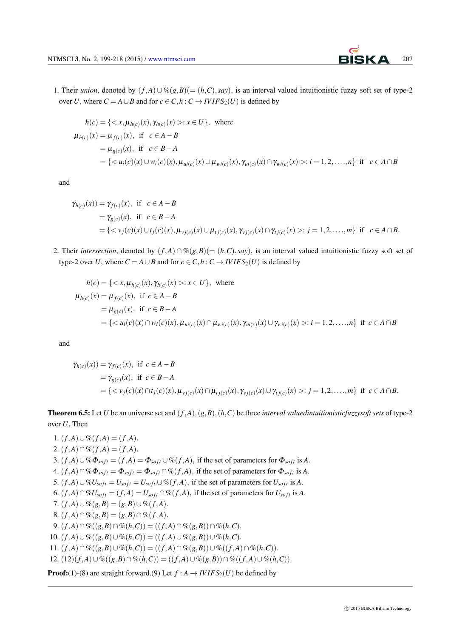1. Their *union*, denoted by  $(f, A) ∪ \% (g, B) (= (h, C), say)$ , is an interval valued intuitionistic fuzzy soft set of type-2 over *U*, where  $C = A \cup B$  and for  $c \in C$ ,  $h : C \rightarrow I V I F S_2(U)$  is defined by

$$
h(c) = \{ \langle x, \mu_{h(c)}(x), \gamma_{h(c)}(x) \rangle : x \in U \}, \text{ where}
$$
  
\n
$$
\mu_{h(c)}(x) = \mu_{f(c)}(x), \text{ if } c \in A - B
$$
  
\n
$$
= \mu_{g(c)}(x), \text{ if } c \in B - A
$$
  
\n
$$
= \{ \langle u_i(c)(x) \cup w_i(c)(x), \mu_{ui(c)}(x) \cup \mu_{wi(c)}(x), \gamma_{ui(c)}(x) \cap \gamma_{wi(c)}(x) \rangle : i = 1, 2, ..., n \} \text{ if } c \in A \cap B
$$

and

$$
\gamma_{h(c)}(x)) = \gamma_{f(c)}(x), \text{ if } c \in A - B
$$
  
=  $\gamma_{g(c)}(x), \text{ if } c \in B - A$   
= { $\langle v_j(c)(x) \cup t_j(c)(x), \mu_{v_j(c)}(x) \cup \mu_{t_j(c)}(x), \gamma_{v_j(c)}(x) \cap \gamma_{t_j(c)}(x) >: j = 1, 2, ..., m \}$  if  $c \in A \cap B$ .

2. Their *intersection*, denoted by  $(f, A) \cap \%(g, B) (= (h, C), say)$ , is an interval valued intuitionistic fuzzy soft set of type-2 over *U*, where  $C = A \cup B$  and for  $c \in C$ ,  $h : C \rightarrow IVIFS_2(U)$  is defined by

$$
h(c) = \{ \langle x, \mu_{h(c)}(x), \gamma_{h(c)}(x) \rangle : x \in U \}, \text{ where}
$$
  
\n
$$
\mu_{h(c)}(x) = \mu_{f(c)}(x), \text{ if } c \in A - B
$$
  
\n
$$
= \mu_{g(c)}(x), \text{ if } c \in B - A
$$
  
\n
$$
= \{ \langle u_i(c)(x) \cap w_i(c)(x), \mu_{ui(c)}(x) \cap \mu_{wi(c)}(x), \gamma_{ui(c)}(x) \cup \gamma_{wi(c)}(x) \rangle : i = 1, 2, ..., n \} \text{ if } c \in A \cap B
$$

and

$$
\gamma_{h(c)}(x)) = \gamma_{f(c)}(x), \text{ if } c \in A - B
$$
  
=  $\gamma_{g(c)}(x), \text{ if } c \in B - A$   
= { $v_j(c)(x) \cap t_j(c)(x), \mu_{v_j(c)}(x) \cap \mu_{t_j(c)}(x), \gamma_{v_j(c)}(x) \cup \gamma_{t_j(c)}(x) >: j = 1, 2, ..., m$ } if  $c \in A \cap B$ .

**Theorem 6.5:** Let *U* be an universe set and  $(f, A)$ ,  $(g, B)$ ,  $(h, C)$  be three *interval valuedintuitionisticfuzzysoft sets* of type-2 over *U.* Then

1.  $(f, A) ∪ \% (f, A) = (f, A)$ . 2.  $(f, A) \cap \% (f, A) = (f, A).$ 3.  $(f, A) \cup \% \Phi_{soft} = (f, A) = \Phi_{soft} \cup \% (f, A)$ , if the set of parameters for  $\Phi_{soft}$  is *A*. 4.  $(f, A) \cap \% \Phi_{soft} = \Phi_{soft} \cap \% (f, A)$ , if the set of parameters for  $\Phi_{soft}$  is *A*. 5.  $(f, A) \cup \mathcal{W}U_{soft} = U_{soft} \cup \mathcal{W}(f, A)$ , if the set of parameters for  $U_{soft}$  is *A*. 6.  $(f,A) \cap \% U_{soft} = (f,A) = U_{soft} \cap \% (f,A)$ , if the set of parameters for  $U_{soft}$  is A.  $7.$   $(f, A) \cup \%$   $(g, B) = (g, B) \cup \%$   $(f, A)$ . 8.  $(f, A) \cap \%$   $(g, B) = (g, B) \cap \%$   $(f, A)$ . 9.  $(f, A) \cap \% ((g, B) \cap \% (h, C)) = ((f, A) \cap \% (g, B)) \cap \% (h, C)$ . 10.  $(f, A) \cup \%((g, B) \cup \%((h, C)) = ((f, A) \cup \%((g, B)) \cup \%((h, C))$ . 11.  $(f,A) \cap \%((g,B) \cup \%(h,C)) = ((f,A) \cap \%(g,B)) \cup \%((f,A) \cap \%(h,C)).$ 12.  $(12)(f,A) \cup \mathcal{K}((g,B) \cap \mathcal{K}(h,C)) = ((f,A) \cup \mathcal{K}(g,B)) \cap \mathcal{K}((f,A) \cup \mathcal{K}(h,C)).$ 

**Proof:**(1)-(8) are straight forward.(9) Let  $f : A \rightarrow I V I F S_2(U)$  be defined by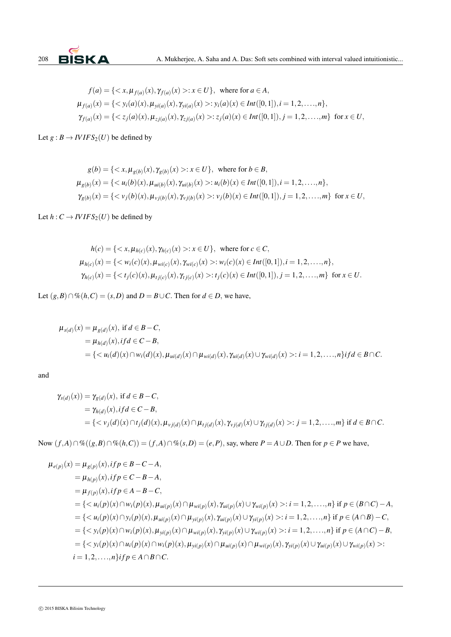

$$
f(a) = \{ \langle x, \mu_{f(a)}(x), \gamma_{f(a)}(x) \rangle : x \in U \}, \text{ where for } a \in A,
$$
  
\n
$$
\mu_{f(a)}(x) = \{ \langle y_i(a)(x), \mu_{yi(a)}(x), \gamma_{yi(a)}(x) \rangle : y_i(a)(x) \in Int([0,1]), i = 1,2,\dots,n \},
$$
  
\n
$$
\gamma_{f(a)}(x) = \{ \langle z_j(a)(x), \mu_{zj(a)}(x), \gamma_{zj(a)}(x) \rangle : z_j(a)(x) \in Int([0,1]), j = 1,2,\dots,m \} \text{ for } x \in U,
$$

Let  $g : B \to I V I F S_2(U)$  be defined by

$$
g(b) = \{ \langle x, \mu_{g(b)}(x), \gamma_{g(b)}(x) \rangle : x \in U \}, \text{ where for } b \in B,
$$
  
\n
$$
\mu_{g(b)}(x) = \{ \langle u_i(b)(x), \mu_{ui(b)}(x), \gamma_{ui(b)}(x) \rangle : u_i(b)(x) \in Int([0,1]), i = 1,2,\dots,n \},
$$
  
\n
$$
\gamma_{g(b)}(x) = \{ \langle v_j(b)(x), \mu_{vj(b)}(x), \gamma_{vj(b)}(x) \rangle : v_j(b)(x) \in Int([0,1]), j = 1,2,\dots,m \} \text{ for } x \in U,
$$

Let  $h: C \to IVIFS_2(U)$  be defined by

$$
h(c) = \{ \langle x, \mu_{h(c)}(x), \gamma_{h(c)}(x) \rangle : x \in U \}, \text{ where for } c \in C,
$$
  
\n
$$
\mu_{h(c)}(x) = \{ \langle w_i(c)(x), \mu_{wi(c)}(x), \gamma_{wi(c)}(x) \rangle : w_i(c)(x) \in Int([0,1]), i = 1, 2, ..., n \},
$$
  
\n
$$
\gamma_{h(c)}(x) = \{ \langle t_j(c)(x), \mu_{t_j(c)}(x), \gamma_{t_j(c)}(x) \rangle : t_j(c)(x) \in Int([0,1]), j = 1, 2, ..., m \} \text{ for } x \in U.
$$

Let  $(g, B) ∩ \% (h, C) = (s, D)$  and  $D = B ∪ C$ . Then for  $d ∈ D$ , we have,

$$
\mu_{s(d)}(x) = \mu_{g(d)}(x), \text{ if } d \in B - C,
$$
  
=  $\mu_{h(d)}(x), \text{ if } d \in C - B,$   
= { $\langle u_i(d)(x) \cap w_i(d)(x), \mu_{ui(d)}(x) \cap \mu_{wi(d)}(x), \gamma_{ui(d)}(x) \cup \gamma_{wi(d)}(x) \rangle : i = 1, 2, ..., n \} \text{ if } d \in B \cap C.$ 

and

$$
\gamma_{s(d)}(x)) = \gamma_{g(d)}(x), \text{ if } d \in B - C,
$$
  
=  $\gamma_{h(d)}(x), \text{ if } d \in C - B,$   
= { $v_j(d)(x) \cap t_j(d)(x), \mu_{vj(d)}(x) \cap \mu_{t_j(d)}(x), \gamma_{vj(d)}(x) \cup \gamma_{t_j(d)}(x) >: j = 1, 2, ..., m$ } if  $d \in B \cap C$ .

Now  $(f,A) \cap \%((g,B) \cap \%((h,C)) = (f,A) \cap \%((s,D)) = (e,P)$ , say, where  $P = A \cup D$ . Then for  $p \in P$  we have,

$$
\mu_{e(p)}(x) = \mu_{g(p)}(x), if p \in B - C - A,
$$
  
\n
$$
= \mu_{h(p)}(x), if p \in C - B - A,
$$
  
\n
$$
= \mu_{f(p)}(x), if p \in A - B - C,
$$
  
\n
$$
= \{ : i = 1, 2, ..., n \} \text{ if } p \in (B \cap C) - A,
$$
  
\n
$$
= \{ : i = 1, 2, ..., n \} \text{ if } p \in (A \cap B) - C,
$$
  
\n
$$
= \{ : i = 1, 2, ..., n \} \text{ if } p \in (A \cap C) - B,
$$
  
\n
$$
= \{ : i = 1, 2, ..., n \} \text{ if } p \in A \cap B \cap C.
$$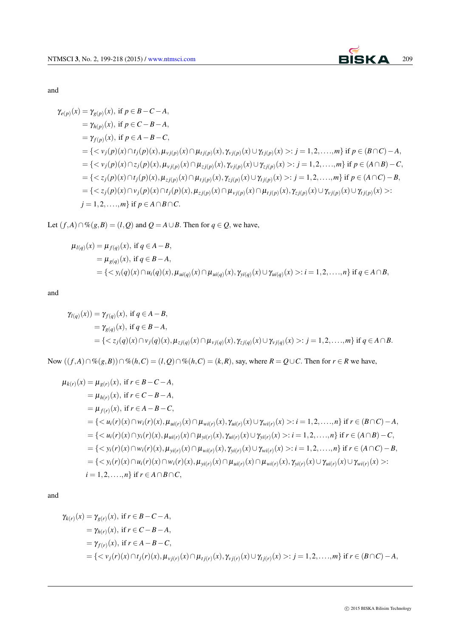

and

$$
\gamma_{e(p)}(x) = \gamma_{g(p)}(x), \text{ if } p \in B - C - A,\n= \gamma_{h(p)}(x), \text{ if } p \in C - B - A,\n= \gamma_{f(p)}(x), \text{ if } p \in A - B - C,\n= \{< v_j(p)(x) \cap t_j(p)(x), \mu_{vj(p)}(x) \cap \mu_{tj(p)}(x), \gamma_{vj(p)}(x) \cup \gamma_{tj(p)}(x) >: j = 1, 2, ..., m\} \text{ if } p \in (B \cap C) - A,\n= \{< v_j(p)(x) \cap z_j(p)(x), \mu_{vj(p)}(x) \cap \mu_{zj(p)}(x), \gamma_{vj(p)}(x) \cup \gamma_{zj(p)}(x) >: j = 1, 2, ..., m\} \text{ if } p \in (A \cap B) - C,\n= \{< z_j(p)(x) \cap t_j(p)(x), \mu_{zj(p)}(x) \cap \mu_{tj(p)}(x), \gamma_{zj(p)}(x) \cup \gamma_{tj(p)}(x) >: j = 1, 2, ..., m\} \text{ if } p \in (A \cap C) - B,\n= \{< z_j(p)(x) \cap v_j(p)(x) \cap t_j(p)(x), \mu_{zj(p)}(x) \cap \mu_{vj(p)}(x) \cap \mu_{tj(p)}(x), \gamma_{zj(p)}(x) \cup \gamma_{vj(p)}(x) \cup \gamma_{tj(p)}(x) >: \n j = 1, 2, ..., m\} \text{ if } p \in A \cap B \cap C.
$$

Let  $(f, A) ∩ \% (g, B) = (l, Q)$  and  $Q = A ∪ B$ *.* Then for  $q ∈ Q$ *,* we have,

$$
\mu_{l(q)}(x) = \mu_{f(q)}(x), \text{ if } q \in A - B,\n= \mu_{g(q)}(x), \text{ if } q \in B - A,\n= \{ \langle y_i(q)(x) \cap u_i(q)(x), \mu_{ui(q)}(x) \cap \mu_{ui(q)}(x), \gamma_{yi(q)}(x) \cup \gamma_{ui(q)}(x) \rangle : i = 1, 2, ..., n \} \text{ if } q \in A \cap B,
$$

and

$$
\gamma_{l(q)}(x) = \gamma_{f(q)}(x), \text{ if } q \in A - B,
$$
  
=  $\gamma_{g(q)}(x), \text{ if } q \in B - A,$   
= { $z_j(q)(x) \cap v_j(q)(x), \mu_{z_j(q)}(x) \cap \mu_{v_j(q)}(x), \gamma_{z_j(q)}(x) \cup \gamma_{v_j(q)}(x) >: j = 1, 2, ..., m$ } if  $q \in A \cap B$ .

Now  $((f,A)\cap\mathcal{K}(g,B))\cap\mathcal{K}(h,C)=(l,Q)\cap\mathcal{K}(h,C)=(k,R)$ , say, where  $R=Q\cup C$ . Then for  $r\in R$  we have,

$$
\mu_{k(r)}(x) = \mu_{g(r)}(x), \text{ if } r \in B - C - A,
$$
  
\n
$$
= \mu_{f(r)}(x), \text{ if } r \in C - B - A,
$$
  
\n
$$
= \mu_{f(r)}(x), \text{ if } r \in A - B - C,
$$
  
\n
$$
= \{ : i = 1, 2, ..., n \} \text{ if } r \in (B \cap C) - A,
$$
  
\n
$$
= \{ : i = 1, 2, ..., n \} \text{ if } r \in (A \cap B) - C,
$$
  
\n
$$
= \{ : i = 1, 2, ..., n \} \text{ if } r \in (A \cap C) - B,
$$
  
\n
$$
= \{ : i = 1, 2, ..., n \} \text{ if } r \in A \cap B \cap C,
$$

and

$$
\gamma_{k(r)}(x) = \gamma_{g(r)}(x), \text{ if } r \in B - C - A,
$$
  
\n
$$
= \gamma_{h(r)}(x), \text{ if } r \in C - B - A,
$$
  
\n
$$
= \gamma_{f(r)}(x), \text{ if } r \in A - B - C,
$$
  
\n
$$
= \{ \langle v_j(r)(x) \cap t_j(r)(x), \mu_{v_j(r)}(x) \cap \mu_{t_j(r)}(x), \gamma_{v_j(r)}(x) \cup \gamma_{t_j(r)}(x) \rangle : j = 1, 2, ..., m \} \text{ if } r \in (B \cap C) - A,
$$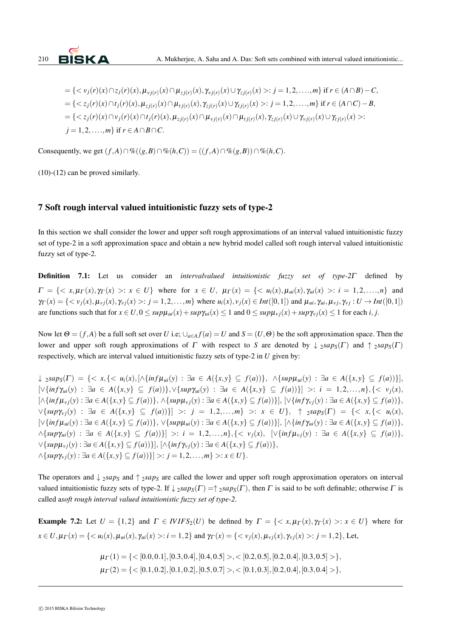

$$
= \{ \langle v_j(r)(x) \cap z_j(r)(x), \mu_{vj(r)}(x) \cap \mu_{zj(r)}(x), \gamma_{vj(r)}(x) \cup \gamma_{zj(r)}(x) \rangle : j = 1, 2, ..., m \} \text{ if } r \in (A \cap B) - C,
$$
  
\n
$$
= \{ \langle z_j(r)(x) \cap t_j(r)(x), \mu_{zj(r)}(x) \cap \mu_{tj(r)}(x), \gamma_{zj(r)}(x) \cup \gamma_{tj(r)}(x) \rangle : j = 1, 2, ..., m \} \text{ if } r \in (A \cap C) - B,
$$
  
\n
$$
= \{ \langle z_j(r)(x) \cap v_j(r)(x) \cap t_j(r)(x), \mu_{zj(r)}(x) \cap \mu_{vj(r)}(x) \cap \mu_{tj(r)}(x), \gamma_{zj(r)}(x) \cup \gamma_{vj(r)}(x) \cup \gamma_{tj(r)}(x) \rangle : j = 1, 2, ..., m \} \text{ if } r \in A \cap B \cap C.
$$

Consequently, we get  $(f,A) \cap \%((g,B) \cap \%((h,C)) = ((f,A) \cap \%((g,B)) \cap \%((h,C))$ .

(10)-(12) can be proved similarly.

## 7 Soft rough interval valued intuitionistic fuzzy sets of type-2

In this section we shall consider the lower and upper soft rough approximations of an interval valued intuitionistic fuzzy set of type-2 in a soft approximation space and obtain a new hybrid model called soft rough interval valued intuitionistic fuzzy set of type-2.

Definition 7.1: Let us consider an *intervalvalued intuitionistic fuzzy set of type-2*<sup>Γ</sup> defined by  $\Gamma = \{ \langle x, \mu_{\Gamma}(x), \gamma_{\Gamma}(x) \rangle : x \in U \}$  where for  $x \in U$ ,  $\mu_{\Gamma}(x) = \{ \langle u_i(x), \mu_{ui}(x), \gamma_{ui}(x) \rangle : i = 1, 2, ..., n \}$  and  $\gamma_{\Gamma}(x) = \{ \langle v_i(x), \mu_{\nu}(x), \gamma_{\nu}(x) \rangle : j = 1, 2, ..., m \}$  where  $u_i(x), v_i(x) \in Int([0, 1])$  and  $\mu_{ui}, \gamma_{ui}, \mu_{\nu}$ ;  $\gamma_{\nu} : U \to Int([0, 1])$ are functions such that for  $x \in U$ ,  $0 \leq supp\mu_{ui}(x) + sup\gamma_{ui}(x) \leq 1$  and  $0 \leq supp\mu_{vj}(x) + sup\gamma_{vj}(x) \leq 1$  for each i, j.

Now let  $\Theta = (f, A)$  be a full soft set over *U* i.e;  $\bigcup_{a \in A} f(a) = U$  and  $S = (U, \Theta)$  be the soft approximation space. Then the lower and upper soft rough approximations of  $\Gamma$  with respect to *S* are denoted by  $\downarrow$  2*sap<sub>S</sub>*( $\Gamma$ ) and  $\uparrow$  2*sap<sub>S</sub>*( $\Gamma$ ) respectively, which are interval valued intuitionistic fuzzy sets of type-2 in *U* given by:

 $\downarrow$  2sap<sub>S</sub>( $\Gamma$ ) = {< x, {< u<sub>i</sub>(x), [ $\wedge$ {inf $\mu_{ui}(y)$  :  $\exists a \in A(\{x,y\} \subseteq f(a))\}, \wedge$ {sup $\mu_{ui}(y)$  :  $\exists a \in A(\{x,y\} \subseteq f(a))\},$  $[\forall \{inf \gamma_{ui}(y) : \exists a \in A(\{x,y\} \subseteq f(a))\}, \forall \{sup \gamma_{ui}(y) : \exists a \in A(\{x,y\} \subseteq f(a))\}] >: i = 1,2,\ldots,n\}, \{<\nu_j(x),<\nu_k(x)\}$  $[\wedge \{inf\mu_{\nu_i}(y) : \exists a \in A(\{x,y\} \subseteq f(a))\}, \wedge \{sup\mu_{\nu_i}(y) : \exists a \in A(\{x,y\} \subseteq f(a))\}], [\vee \{inf\gamma_{\nu_i}(y) : \exists a \in A(\{x,y\} \subseteq f(a))\},$ *∨{sup*<sup>γ</sup> *v j*(*y*) : *∃a ∈ A*(*{x,y} ⊆ f*(*a*))*}*] *>*: *j* = 1*,*2*,...,m} >*: *x ∈ U}, ↑* <sup>2</sup>*sapS*(<sup>Γ</sup> ) = *{< x,{< ui*(*x*)*,*  $[\forall \{inf \mu_{ui}(y) : \exists a \in A(\{x,y\} \subseteq f(a))\}, \forall \{sup \mu_{ui}(y) : \exists a \in A(\{x,y\} \subseteq f(a))\}], [\land \{inf \gamma_{ui}(y) : \exists a \in A(\{x,y\} \subseteq f(a))\},$  $\land$  {sup $\gamma_{ui}(y)$  :  $\exists a \in A(\{x,y\} \subseteq f(a))\}$  >:  $i = 1,2,...,n\},\{< v_j(x), [ \lor \{inf\mu_{vj}(y) : \exists a \in A(\{x,y\} \subseteq f(a))\},$  $\forall \{ \sup \mu_{\nu i}(y) : \exists a \in A(\{x,y\} \subseteq f(a)) \}$ ,  $[\land \{ \inf \gamma_{\nu i}(y) : \exists a \in A(\{x,y\} \subseteq f(a)) \}$ ,  $\land$ {sup $\gamma_{\nu i}(y)$ :  $\exists a \in A(\{x,y\} \subseteq f(a))\}$  >:  $j = 1,2,...,m$ } >:  $x \in U$  }.

The operators and *↓* <sup>2</sup>*sap<sup>S</sup>* and *↑* <sup>2</sup>*sap<sup>S</sup>* are called the lower and upper soft rough approximation operators on interval valued intuitionistic fuzzy sets of type-2. If  $\downarrow$  2*sap<sub>S</sub>*( $\Gamma$ ) = $\uparrow$  2*sap<sub>S</sub>*( $\Gamma$ ), then  $\Gamma$  is said to be soft definable; otherwise  $\Gamma$  is called a*soft rough interval valued intuitionistic fuzzy set of type-2*.

**Example 7.2:** Let  $U = \{1,2\}$  and  $\Gamma \in IVIFS_2(U)$  be defined by  $\Gamma = \{ \langle x, \mu(\Gamma(x), \gamma(\Gamma(x)) \rangle : x \in U \}$  where for  $x \in U$ ,  $\mu_{\Gamma}(x) = \{ \langle u_i(x), \mu_{ui}(x), \gamma_{ui}(x) \rangle : i = 1, 2 \}$  and  $\gamma_{\Gamma}(x) = \{ \langle v_i(x), \mu_{vi}(x), \gamma_{vi}(x) \rangle : j = 1, 2 \}$ , Let,

$$
\mu_{\Gamma}(1) = \{ < [0.0, 0.1], [0.3, 0.4], [0.4, 0.5] >, < [0.2, 0.5], [0.2, 0.4], [0.3, 0.5] > \},
$$
  

$$
\mu_{\Gamma}(2) = \{ < [0.1, 0.2], [0.1, 0.2], [0.5, 0.7] >, < [0.1, 0.3], [0.2, 0.4], [0.3, 0.4] > \},
$$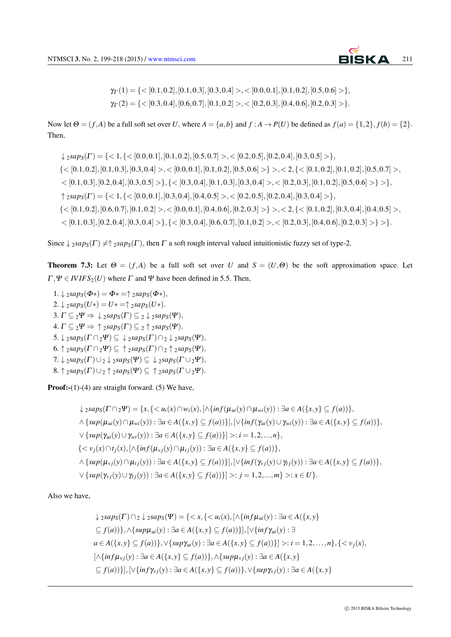

 $\gamma_{\Gamma}(1) = \{ <[0.1, 0.2], [0.1, 0.3], [0.3, 0.4] > , <[0.0, 0.1], [0.1, 0.2], [0.5, 0.6] > \},\$  $\gamma_{\Gamma}(2) = \{ <[0.3, 0.4], [0.6, 0.7], [0.1, 0.2] > , <[0.2, 0.3], [0.4, 0.6], [0.2, 0.3] > \}.$ 

Now let  $\Theta = (f, A)$  be a full soft set over U, where  $A = \{a, b\}$  and  $f : A \rightarrow P(U)$  be defined as  $f(a) = \{1, 2\}, f(b) = \{2\}.$ Then,

 $\downarrow$  2sap<sub>S</sub>( $\Gamma$ ) = {< 1, {< [0.0, 0.1], [0.1, 0.2], [0.5, 0.7] >, < [0.2, 0.5], [0.2, 0.4], [0.3, 0.5] >},  $\{<[0.1, 0.2], [0.1, 0.3], [0.3, 0.4]>, <[0.0, 0.1], [0.1, 0.2], [0.5, 0.6]>\}, <2, \{<[0.1, 0.2], [0.1, 0.2], [0.5, 0.7]\},$  $\{[0.1, 0.3], [0.2, 0.4], [0.3, 0.5] > \}, \{ \{ \leq [0.3, 0.4], [0.1, 0.3], [0.3, 0.4] > \leq [0.2, 0.3], [0.1, 0.2], [0.5, 0.6] > \} > \},$  $\uparrow_2 \text{saps}(\Gamma) = \{ <1, \{ <[0.0, 0.1], [0.3, 0.4], [0.4, 0.5] > , <[0.2, 0.5], [0.2, 0.4], [0.3, 0.4] > \},\}$  $\{<[0.1, 0.2], [0.6, 0.7], [0.1, 0.2]>, <[0.0, 0.1], [0.4, 0.6], [0.2, 0.3]>\},<2,\{<[0.1, 0.2], [0.3, 0.4], [0.4, 0.5]>,$  $<$  [0.1, 0.3], [0.2, 0.4], [0.3, 0.4] > }, {  $<$  [0.3, 0.4], [0.6, 0.7], [0.1, 0.2] >,  $<$  [0.2, 0.3], [0.4, 0.6], [0.2, 0.3] > } > }.

Since  $\downarrow$  2*sap<sub>S</sub>*( $\Gamma$ )  $\neq$   $\uparrow$  2*sap<sub>S</sub>*( $\Gamma$ ), then  $\Gamma$  a soft rough interval valued intuitionistic fuzzy set of type-2.

**Theorem 7.3:** Let  $\Theta = (f, A)$  be a full soft set over *U* and  $S = (U, \Theta)$  be the soft approximation space. Let  $\Gamma, \Psi \in \text{IVIFS}_2(U)$  where  $\Gamma$  and  $\Psi$  have been defined in 5.5. Then,

 $1. \downarrow$  2*sap<sub>S</sub>*( $\Phi$ \*) =  $\Phi$ \* = $\uparrow$  2*sap<sub>S</sub>*( $\Phi$ \*),  $2.\downarrow 2sap_S(U*) = U* = \uparrow 2sap_S(U*)$ . 3.  $\Gamma \subseteq 2\Psi \Rightarrow \downarrow 2saps(\Gamma) \subseteq 2 \downarrow 2saps(\Psi)$ , 4.  $\Gamma \subseteq 2\Psi \Rightarrow \uparrow 2saps(\Gamma) \subseteq 2 \uparrow 2saps(\Psi)$ .  $5. \downarrow$ <sub>2</sub>*sap<sub>S</sub>*( $\Gamma \cap$ <sub>2</sub> $\Psi$ )  $\subseteq \downarrow$ <sub>2</sub>*sap<sub>S</sub>*( $\Gamma$ )  $\cap$ <sub>2</sub> $\downarrow$ <sub>2</sub>*sap<sub>S</sub>*( $\Psi$ )*,* 6. *↑* <sup>2</sup>*sapS*(<sup>Γ</sup> *∩*2<sup>Ψ</sup>) *⊆ ↑* <sup>2</sup>*sapS*(<sup>Γ</sup> )*∩*<sup>2</sup> *↑* <sup>2</sup>*sapS*(Ψ)*,*  $7. \downarrow$ <sub>2</sub>*sap<sub>S</sub>*( $\Gamma$ ) $\cup$ <sub>2</sub>  $\downarrow$ <sub>2</sub>*sap<sub>S</sub>*( $\Gamma$  $\cup$ <sub>2</sub> $\Psi$ )*,* 8. *↑* <sup>2</sup>*sapS*(<sup>Γ</sup> )*∪*<sup>2</sup> *↑* <sup>2</sup>*sapS*(Ψ) *⊆ ↑* <sup>2</sup>*sapS*(<sup>Γ</sup> *∪*2<sup>Ψ</sup>)*.*

**Proof:-** $(1)$ - $(4)$  are straight forward.  $(5)$  We have,

 $\downarrow_2 \text{sup}_{S}(\Gamma \cap 2\Psi) = \{x, \{ \langle u_i(x) \cap w_i(x), [\wedge \{inf(\mu_{ui}(y) \cap \mu_{wi}(y)) : \exists a \in A(\{x, y\} \subseteq f(a)) \},\}$  $\land$  {sup( $\mu_{ui}(y) \cap \mu_{wi}(y)$ ):  $\exists a \in A({x,y} \subseteq f(a))$ },  $[\lor \{inf(\gamma_{ui}(y) \cup \gamma_{wi}(y)) : \exists a \in A({x,y} \subseteq f(a))\},$  $\forall \{ \sup(\gamma_{ui}(y) \cup \gamma_{wi}(y)) : \exists a \in A(\{x, y\} \subseteq f(a)) \} \geq i = 1, 2, ..., n \},$  $\{ \langle v_i(x) \cap t_i(x), [\wedge \{inf(\mu_{\nu_i}(y) \cap \mu_{\nu_i}(y)) : \exists a \in A(\{x, y\} \subseteq f(a)) \},\}$  $\wedge \{ \sup(\mu_{vi}(y) \cap \mu_{ti}(y)) : \exists a \in A(\{x,y\} \subseteq f(a)) \} \cup \{ \inf(\gamma_{vi}(y) \cup \gamma_{ti}(y)) : \exists a \in A(\{x,y\} \subseteq f(a)) \}$  $\vee$  {sup( $\gamma_{vj}(y) \cup \gamma_{tj}(y)$ ) :  $\exists a \in A(\{x,y\} \subseteq f(a))\}| >: j = 1,2,...,m\} >: x \in U$ }.

Also we have,

$$
\downarrow 2saps(\Gamma) \cap 2 \downarrow 2saps(\Psi) = \{< x, \{< u_i(x), [\land \{inf\mu_{ui}(y) : \exists a \in A(\{x, y\} \subseteq f(a))\}, \land \{sup\mu_{ui}(y) : \exists a \in A(\{x, y\} \subseteq f(a))\}], [\lor \{inf\gamma_{ui}(y) : \exists a \in A(\{x, y\} \subseteq f(a))\}, \lor \{sup\gamma_{ui}(y) : \exists a \in A(\{x, y\} \subseteq f(a))\}] > : i = 1, 2, \ldots, n\}, \{< v_j(x), [\land \{inf\mu_{vj}(y) : \exists a \in A(\{x, y\} \subseteq f(a))\}, \land \{sup\mu_{vj}(y) : \exists a \in A(\{x, y\} \subseteq f(a))\}], [\lor \{inf\gamma_{vj}(y) : \exists a \in A(\{x, y\} \subseteq f(a))\}, \lor \{sup\gamma_{vj}(y) : \exists a \in A(\{x, y\} \subseteq f(a))\}] \}
$$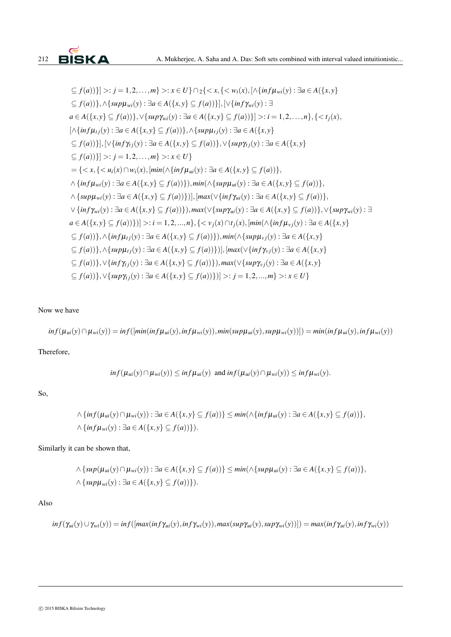

$$
\subseteq f(a))\}\n\ge j = 1, 2, ..., m\} \ge i x \in U\}\n\cap_{2} \{ \langle x, \{ \langle w_{i}(x), [\land \{ \inf \mu_{wi}(y) \} ] \exists a \in A(\{x, y\} \le f(a)) \}, \land \{ \sup \mu_{wi}(y) \} \exists a \in A(\{ x, y \} \subseteq f(a)) \}, [\lor \{ \inf \gamma_{wi}(y) \} ] \exists a \in A(\{ x, y \} \subseteq f(a)) \} \ge i = 1, 2, ..., n\}, \{ \langle x_{j}(x), [\land \{ \inf \mu_{tj}(y) \} ] \exists a \in A(\{ x, y \} \subseteq f(a)) \}, \land \{ \sup \mu_{tj}(y) \} \exists a \in A(\{ x, y \} \le f(a)) \} \ge i = 1, 2, ..., n\}, \{ \langle x_{j}(x), [\land \{ \inf \mu_{tj}(y) \} ] \exists a \in A(\{ x, y \} \subseteq f(a)) \}, \lor \{ \sup \mu_{tj}(y) \} \exists a \in A(\{ x, y \} \subseteq f(a)) \} \ge j = 1, 2, ..., m\} \ge i x \in U\}
$$
\n
$$
= \{ \langle x, \{ \langle u_{i}(x) \cap w_{i}(x), [\min(\land \{ \inf \mu_{ui}(y) \} ] \exists a \in A(\{ x, y \} \subseteq f(a)) \}, \land \{ \inf \mu_{wi}(y) \} \exists a \in A(\{ x, y \} \subseteq f(a)) \}, \land \{ \inf \mu_{wi}(y) \} \exists a \in A(\{ x, y \} \subseteq f(a)) \} \rangle \} \wedge \{ \sup \mu_{wi}(y) \} \exists a \in A(\{ x, y \} \subseteq f(a)) \} \rangle, \text{max}(\forall \{ \inf \mu_{ui}(y) \} \exists a \in A(\{ x, y \} \subseteq f(a)) \} \rangle, \text{max}(\forall \{ \inf \mu_{ui}(y) \} \exists a \in A(\{ x, y \} \subseteq f(a)) \} \rangle, \text{max}(\forall \{ \inf \mu_{vi}(y) \} \exists a \in A(\{ x, y \} \subseteq f(a)) \} \rangle, \text{max}(\forall \{ \inf \mu_{vi}(y) \} \exists a \in A(\{ x, y \} \subseteq f(a)) \} \rangle, \text{max}(\forall \{ \inf \mu_{vi}(y) \} \exists a \in A
$$

Now we have

$$
inf(\mu_{ui}(y) \cap \mu_{wi}(y)) = inf([min(inf\mu_{ui}(y), inf\mu_{wi}(y)), min(sup\mu_{ui}(y), sup\mu_{wi}(y))]) = min(inf\mu_{ui}(y), inf\mu_{wi}(y))
$$

Therefore,

$$
inf(\mu_{ui}(y) \cap \mu_{wi}(y)) \leq inf \mu_{ui}(y) \text{ and } inf(\mu_{ui}(y) \cap \mu_{wi}(y)) \leq inf \mu_{wi}(y).
$$

So,

$$
\wedge \{ \inf(\mu_{ui}(y) \cap \mu_{wi}(y)) : \exists a \in A(\{x,y\} \subseteq f(a)) \} \le \min(\wedge \{ \inf \mu_{ui}(y) : \exists a \in A(\{x,y\} \subseteq f(a)) \},
$$
  

$$
\wedge \{ \inf \mu_{wi}(y) : \exists a \in A(\{x,y\} \subseteq f(a)) \}).
$$

Similarly it can be shown that,

$$
\wedge \{ \sup(\mu_{ui}(y) \cap \mu_{wi}(y)) : \exists a \in A(\{x,y\} \subseteq f(a)) \} \le \min(\wedge \{ \sup \mu_{ui}(y) : \exists a \in A(\{x,y\} \subseteq f(a)) \},
$$
  

$$
\wedge \{ \sup \mu_{wi}(y) : \exists a \in A(\{x,y\} \subseteq f(a)) \} ).
$$

Also

$$
inf(\gamma_{ui}(y) \cup \gamma_{wi}(y)) = inf([max(inf \gamma_{ui}(y), inf \gamma_{wi}(y)), max(sup \gamma_{ui}(y), sup \gamma_{wi}(y))]) = max(inf \gamma_{ui}(y), inf \gamma_{wi}(y))
$$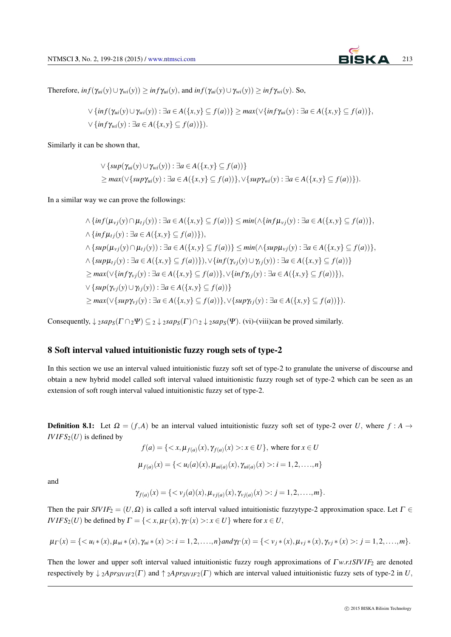

Therefore,  $inf(\gamma_{ui}(y) \cup \gamma_{wi}(y)) \geq inf \gamma_{ui}(y)$ , and  $inf(\gamma_{ui}(y) \cup \gamma_{wi}(y)) \geq inf \gamma_{wi}(y)$ . So,

$$
\vee \{ \inf(\gamma_{ui}(y) \cup \gamma_{wi}(y)) : \exists a \in A(\{x,y\} \subseteq f(a)) \} \ge \max(\vee \{ \inf \gamma_{ui}(y) : \exists a \in A(\{x,y\} \subseteq f(a)) \},\newline \vee \{ \inf \gamma_{wi}(y) : \exists a \in A(\{x,y\} \subseteq f(a)) \} ).
$$

Similarly it can be shown that,

$$
\vee \{ \sup(\gamma_{ui}(y) \cup \gamma_{wi}(y)) : \exists a \in A(\{x,y\} \subseteq f(a)) \}
$$
  
\n
$$
\geq \max(\vee \{ \sup \gamma_{ui}(y) : \exists a \in A(\{x,y\} \subseteq f(a)) \}, \vee \{ \sup \gamma_{wi}(y) : \exists a \in A(\{x,y\} \subseteq f(a)) \}).
$$

In a similar way we can prove the followings:

$$
\begin{aligned}\n&\wedge\{inf(\mu_{vj}(y)\cap\mu_{tj}(y)):\exists a\in A(\{x,y\}\subseteq f(a))\}\leq min(\wedge\{inf\mu_{vj}(y):\exists a\in A(\{x,y\}\subseteq f(a))\}, \\
&\wedge\{inf\mu_{tj}(y):\exists a\in A(\{x,y\}\subseteq f(a))\}), \\
&\wedge\{sup(\mu_{vj}(y)\cap\mu_{tj}(y)):\exists a\in A(\{x,y\}\subseteq f(a))\}\leq min(\wedge\{sup\mu_{vj}(y):\exists a\in A(\{x,y\}\subseteq f(a))\}, \\
&\wedge\{sup\mu_{tj}(y):\exists a\in A(\{x,y\}\subseteq f(a))\}),\vee\{inf(\gamma_{vj}(y)\cup\gamma_{tj}(y)):\exists a\in A(\{x,y\}\subseteq f(a))\} \\
&\geq max(\vee\{inf\gamma_{vj}(y):\exists a\in A(\{x,y\}\subseteq f(a))\},\vee\{inf\gamma_{tj}(y):\exists a\in A(\{x,y\}\subseteq f(a))\}), \\
&\vee\{sup(\gamma_{vj}(y)\cup\gamma_{tj}(y)):\exists a\in A(\{x,y\}\subseteq f(a))\} \\
&\geq max(\vee\{sup\gamma_{vj}(y):\exists a\in A(\{x,y\}\subseteq f(a))\},\vee\{sup\gamma_{tj}(y):\exists a\in A(\{x,y\}\subseteq f(a))\}).\n\end{aligned}
$$

Consequently,  $\downarrow$  2*sap<sub>S</sub>*( $\Gamma \cap$ 2 $\Psi$ )  $\subseteq$  2  $\downarrow$  2*sap<sub>S</sub>*( $\Gamma$ )  $\cap$  2  $\downarrow$  2*sap<sub>S</sub>*( $\Psi$ )*.* (vi)-(viii)can be proved similarly.

# 8 Soft interval valued intuitionistic fuzzy rough sets of type-2

In this section we use an interval valued intuitionistic fuzzy soft set of type-2 to granulate the universe of discourse and obtain a new hybrid model called soft interval valued intuitionistic fuzzy rough set of type-2 which can be seen as an extension of soft rough interval valued intuitionistic fuzzy set of type-2.

**Definition 8.1:** Let  $\Omega = (f, A)$  be an interval valued intuitionistic fuzzy soft set of type-2 over *U*, where  $f : A \rightarrow$  $IVIFS_2(U)$  is defined by

$$
f(a) = \{ \langle x, \mu_{f(a)}(x), \gamma_{f(a)}(x) \rangle : x \in U \}, \text{ where for } x \in U
$$
  

$$
\mu_{f(a)}(x) = \{ \langle u_i(a)(x), \mu_{ui(a)}(x), \gamma_{ui(a)}(x) \rangle : i = 1, 2, ..., n \}
$$

and

$$
\gamma_{f(a)}(x) = \{ \langle v_j(a)(x), \mu_{vj(a)}(x), \gamma_{vj(a)}(x) >: j = 1, 2, \ldots, m \}.
$$

Then the pair  $SIVIF_2 = (U,\Omega)$  is called a soft interval valued intuitionistic fuzzytype-2 approximation space. Let  $\Gamma \in$ *IVIFS*<sub>2</sub>(*U*) be defined by  $\Gamma = \{ \langle x, \mu(\Gamma(x), \gamma(\Gamma(x)) > : x \in U \}$  where for  $x \in U$ ,

$$
\mu_{\Gamma}(x) = \{ \langle u_i \ast (x), \mu_{ui} \ast (x), \gamma_{ui} \ast (x) \rangle : i = 1, 2, \dots, n \} and \gamma_{\Gamma}(x) = \{ \langle v_j \ast (x), \mu_{vj} \ast (x), \gamma_{vj} \ast (x) \rangle : j = 1, 2, \dots, m \}.
$$

Then the lower and upper soft interval valued intuitionistic fuzzy rough approximations of <sup>Γ</sup>*w.r.tSIV IF*<sup>2</sup> are denoted respectively by  $\downarrow$  2*Apr*<sub>SIVIF2</sub>( $\Gamma$ ) and  $\uparrow$  2*Apr*<sub>SIVIF2</sub>( $\Gamma$ ) which are interval valued intuitionistic fuzzy sets of type-2 in *U*,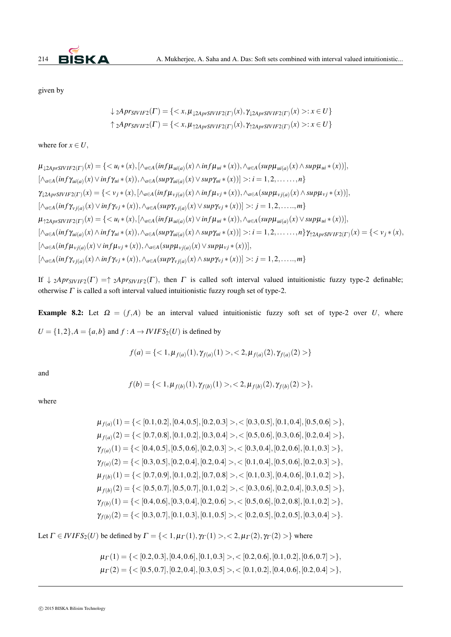

given by

$$
\downarrow 2Apr_{SIVIF2}(\Gamma) = \{ \langle x, \mu_{\downarrow 2AprSIVIF2}(\Gamma)(x), \gamma_{\downarrow 2AprSIVIF2}(\Gamma)(x) > : x \in U \}
$$
  

$$
\uparrow 2Apr_{SIVIF2}(\Gamma) = \{ \langle x, \mu_{\uparrow 2AprSIVIF2}(\Gamma)(x), \gamma_{\uparrow 2AprSIVIF2}(\Gamma)(x) > : x \in U \}
$$

where for  $x \in U$ ,

$$
\mu_{\downarrow 2AprSIVIF2(\Gamma)}(x) = \{< u_i * (x), [\wedge_{a \in A} (inf \mu_{ui(a)}(x) \wedge inf \mu_{ui} * (x)), \wedge_{a \in A} (sup \mu_{ui(a)}(x) \wedge supp \mu_{ui} * (x))],
$$
\n
$$
[\wedge_{a \in A} (inf \gamma_{ui(a)}(x) \vee inf \gamma_{ui} * (x)), \wedge_{a \in A} (sup \gamma_{ui(a)}(x) \vee sup \gamma_{ui} * (x))] > : i = 1, 2, ..., n\}
$$
\n
$$
\gamma_{\downarrow 2AprSIVIF2(\Gamma)}(x) = \{< v_j * (x), [\wedge_{a \in A} (inf \mu_{vj(a)}(x) \wedge inf \mu_{vj} * (x)), \wedge_{a \in A} (sup \mu_{vj(a)}(x) \wedge sup \mu_{vj} * (x))],
$$
\n
$$
[\wedge_{a \in A} (inf \gamma_{vj(a)}(x) \vee inf \gamma_{vj} * (x)), \wedge_{a \in A} (sup \gamma_{vj(a)}(x) \vee sup \gamma_{vj} * (x))] > : j = 1, 2, ..., m\}
$$
\n
$$
\mu_{\uparrow 2AprSIVIF2(\Gamma)}(x) = \{< u_i * (x), [\wedge_{a \in A} (inf \mu_{ui(a)}(x) \vee inf \mu_{ui} * (x)), \wedge_{a \in A} (sup \mu_{ui(a)}(x) \vee sup \mu_{ui} * (x))],
$$
\n
$$
[\wedge_{a \in A} (inf \gamma_{ui(a)}(x) \wedge inf \gamma_{ui} * (x)), \wedge_{a \in A} (sup \gamma_{ui(a)}(x) \wedge sup \gamma_{ui} * (x))] > : i = 1, 2, ..., n\} \gamma_{\uparrow 2AprSIVIF2(\Gamma)}(x) = \{< v_j * (x), [\wedge_{a \in A} (inf \mu_{vj(a)}(x) \vee inf \mu_{vj} * (x)), \wedge_{a \in A} (sup \mu_{vj(a)}(x) \vee sup \mu_{vj} * (x))],
$$
\n
$$
[\wedge_{a \in A} (inf \gamma_{vj(a)}(x) \vee inf \mu_{vj} * (x)), \wedge_{a \in A} (sup \gamma_{vj(a)}(x) \vee sup \mu_{vj}
$$

If  $\downarrow$  2*Apr<sub>SIVIF2</sub>*( $\Gamma$ ) =  $\uparrow$  2*Apr<sub>SIVIF2</sub>*( $\Gamma$ ), then  $\Gamma$  is called soft interval valued intuitionistic fuzzy type-2 definable; otherwise  $\Gamma$  is called a soft interval valued intuitionistic fuzzy rough set of type-2.

Example 8.2: Let  $\Omega = (f, A)$  be an interval valued intuitionistic fuzzy soft set of type-2 over *U*, where  $U = \{1, 2\}, A = \{a, b\}$  and  $f : A \rightarrow IVIFS<sub>2</sub>(U)$  is defined by

$$
f(a) = \{ <1, \mu_{f(a)}(1), \gamma_{f(a)}(1)>, <2, \mu_{f(a)}(2), \gamma_{f(a)}(2)>\}
$$

and

$$
f(b) = \{ <1, \mu_{f(b)}(1), \gamma_{f(b)}(1)>, <2, \mu_{f(b)}(2), \gamma_{f(b)}(2)>\},
$$

where

$$
\mu_{f(a)}(1) = \{< [0.1, 0.2], [0.4, 0.5], [0.2, 0.3] >, < [0.3, 0.5], [0.1, 0.4], [0.5, 0.6] > \},
$$
\n
$$
\mu_{f(a)}(2) = \{< [0.7, 0.8], [0.1, 0.2], [0.3, 0.4] >, < [0.5, 0.6], [0.3, 0.6], [0.2, 0.4] > \},
$$
\n
$$
\gamma_{f(a)}(1) = \{< [0.4, 0.5], [0.5, 0.6], [0.2, 0.3] >, < [0.3, 0.4], [0.2, 0.6], [0.1, 0.3] > \},
$$
\n
$$
\gamma_{f(a)}(2) = \{< [0.3, 0.5], [0.2, 0.4], [0.2, 0.4] >, < [0.1, 0.4], [0.5, 0.6], [0.2, 0.3] > \},
$$
\n
$$
\mu_{f(b)}(1) = \{< [0.7, 0.9], [0.1, 0.2], [0.7, 0.8] >, < [0.1, 0.3], [0.4, 0.6], [0.1, 0.2] > \},
$$
\n
$$
\mu_{f(b)}(2) = \{< [0.5, 0.7], [0.5, 0.7], [0.1, 0.2] >, < [0.3, 0.6], [0.2, 0.4], [0.3, 0.5] > \},
$$
\n
$$
\gamma_{f(b)}(1) = \{< [0.4, 0.6], [0.3, 0.4], [0.2, 0.6] >, < [0.5, 0.6], [0.2, 0.8], [0.1, 0.2] > \},
$$
\n
$$
\gamma_{f(b)}(2) = \{< [0.3, 0.7], [0.1, 0.3], [0.1, 0.5] >, < [0.2, 0.5], [0.2, 0.5], [0.3, 0.4] > \}.
$$

Let  $\Gamma \in \text{IVIFS}_2(U)$  be defined by  $\Gamma = \{ \langle 1, \mu(\Gamma(1), \gamma(\Gamma(1)) \rangle, \langle 2, \mu(\Gamma(2), \gamma(\Gamma(2)) \rangle \}$  where

$$
\mu_{\Gamma}(1) = \{ < [0.2, 0.3], [0.4, 0.6], [0.1, 0.3] >, < [0.2, 0.6], [0.1, 0.2], [0.6, 0.7] > \},
$$
  

$$
\mu_{\Gamma}(2) = \{ < [0.5, 0.7], [0.2, 0.4], [0.3, 0.5] >, < [0.1, 0.2], [0.4, 0.6], [0.2, 0.4] > \},
$$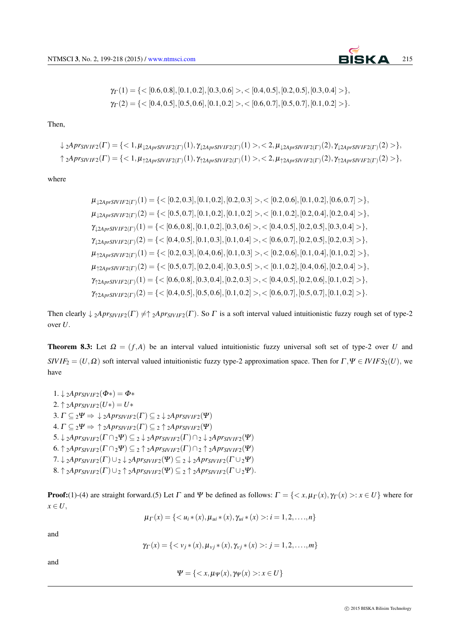

$$
\gamma_{\Gamma}(1) = \{ < [0.6, 0.8], [0.1, 0.2], [0.3, 0.6] > , < [0.4, 0.5], [0.2, 0.5], [0.3, 0.4] > \},
$$
  

$$
\gamma_{\Gamma}(2) = \{ < [0.4, 0.5], [0.5, 0.6], [0.1, 0.2] > , < [0.6, 0.7], [0.5, 0.7], [0.1, 0.2] > \}.
$$

Then,

$$
\downarrow 2Apr_{SIVIF2}(\Gamma) = \{<1, \mu_{\downarrow 2AprSIVIF2}(\Gamma)(1), \gamma_{\downarrow 2AprSIVIF2}(\Gamma)(1)>, <2, \mu_{\downarrow 2AprSIVIF2}(\Gamma)(2), \gamma_{\downarrow 2AprSIVIF2}(\Gamma)(2)>\},
$$
  
\n
$$
\uparrow 2Apr_{SIVIF2}(\Gamma) = \{<1, \mu_{\uparrow 2AprSIVIF2}(\Gamma)(1), \gamma_{\uparrow 2AprSIVIF2}(\Gamma)(1)>, <2, \mu_{\uparrow 2AprSIVIF2}(\Gamma)(2), \gamma_{\uparrow 2AprSIVIF2}(\Gamma)(2)>\},
$$

where

$$
\mu_{\downarrow 2AprSIVIF2(\Gamma)}(1) = \{< [0.2, 0.3], [0.1, 0.2], [0.2, 0.3] >, < [0.2, 0.6], [0.1, 0.2], [0.6, 0.7] > \},
$$
\n
$$
\mu_{\downarrow 2AprSIVIF2(\Gamma)}(2) = \{< [0.5, 0.7], [0.1, 0.2], [0.1, 0.2] >, < [0.1, 0.2], [0.2, 0.4], [0.2, 0.4] > \},
$$
\n
$$
\gamma_{\downarrow 2AprSIVIF2(\Gamma)}(1) = \{< [0.6, 0.8], [0.1, 0.2], [0.3, 0.6] >, < [0.4, 0.5], [0.2, 0.5], [0.3, 0.4] > \},
$$
\n
$$
\gamma_{\downarrow 2AprSIVIF2(\Gamma)}(2) = \{< [0.4, 0.5], [0.1, 0.3], [0.1, 0.4] >, < [0.6, 0.7], [0.2, 0.5], [0.2, 0.3] > \},
$$
\n
$$
\mu_{\uparrow 2AprSIVIF2(\Gamma)}(1) = \{< [0.2, 0.3], [0.4, 0.6], [0.1, 0.3] >, < [0.2, 0.6], [0.1, 0.4], [0.1, 0.2] > \},
$$
\n
$$
\mu_{\uparrow 2AprSIVIF2(\Gamma)}(2) = \{< [0.5, 0.7], [0.2, 0.4], [0.3, 0.5] >, < [0.1, 0.2], [0.4, 0.6], [0.2, 0.4] > \},
$$
\n
$$
\gamma_{\uparrow 2AprSIVIF2(\Gamma)}(1) = \{< [0.6, 0.8], [0.3, 0.4], [0.2, 0.3] >, < [0.4, 0.5], [0.2, 0.6], [0.1, 0.2] > \},
$$
\n
$$
\gamma_{\uparrow 2AprSIVIF2(\Gamma)}(1) = \{<
$$

Then clearly  $\downarrow$  2*Apr*<sub>SIVIF2</sub>( $\Gamma$ )  $\neq$   $\uparrow$  2*Apr*<sub>SIVIF2</sub>( $\Gamma$ ). So  $\Gamma$  is a soft interval valued intuitionistic fuzzy rough set of type-2 over *U.*

**Theorem 8.3:** Let  $\Omega = (f, A)$  be an interval valued intuitionistic fuzzy universal soft set of type-2 over *U* and *SIVIF*<sub>2</sub> =  $(U, \Omega)$  soft interval valued intuitionistic fuzzy type-2 approximation space. Then for  $\Gamma, \Psi \in IVIFS_2(U)$ , we have

1. *↓* <sup>2</sup>*AprSIV IF*2(Φ*∗*) = <sup>Φ</sup>*∗* 2.  $\uparrow$  2*Apr*<sub>*SIVIF*2</sub>(*U*<sup>\*</sup>) = *U*<sup>\*</sup> 3.  $\Gamma \subseteq 2\Psi \Rightarrow \downarrow 2Apr_{SIVIF2}(\Gamma) \subseteq 2 \downarrow 2Apr_{SIVIF2}(\Psi)$ 4.  $\Gamma \subseteq 2\Psi \Rightarrow \uparrow 2Apr_{SIVIF2}(\Gamma) \subseteq 2 \uparrow 2Apr_{SIVIF2}(\Psi)$ 5. *↓* <sup>2</sup>*AprSIV IF*2(<sup>Γ</sup> *∩*2<sup>Ψ</sup>) *⊆* <sup>2</sup> *↓* <sup>2</sup>*AprSIV IF*2(<sup>Γ</sup> )*∩*<sup>2</sup> *↓* <sup>2</sup>*AprSIV IF*2(Ψ) 6. *↑* <sup>2</sup>*AprSIV IF*2(<sup>Γ</sup> *∩*2<sup>Ψ</sup>) *⊆* <sup>2</sup> *↑* <sup>2</sup>*AprSIV IF*2(<sup>Γ</sup> )*∩*<sup>2</sup> *↑* <sup>2</sup>*AprSIV IF*2(Ψ) 7. *↓* <sup>2</sup>*AprSIV IF*2(<sup>Γ</sup> )*∪*<sup>2</sup> *↓* <sup>2</sup>*AprSIV IF*2(Ψ) *⊆* <sup>2</sup> *↓* <sup>2</sup>*AprSIV IF*2(<sup>Γ</sup> *∪*2<sup>Ψ</sup>)  $8. \uparrow$ <sub>2</sub>*Apr*<sub>SIVIF2</sub>( $\Gamma$ ) $\cup$ <sub>2</sub> $\uparrow$ <sub>2</sub>*Apr*<sub>SIVIF2</sub>( $\Psi$ ) $\subseteq$ <sub>2</sub> $\uparrow$ <sub>2</sub>*Apr*<sub>SIVIF2</sub>( $\Gamma$  $\cup$ <sub>2</sub> $\Psi$ )*.* 

**Proof:**(1)-(4) are straight forward.(5) Let  $\Gamma$  and  $\Psi$  be defined as follows:  $\Gamma = \{ \langle x, \mu_{\Gamma}(x), \gamma_{\Gamma}(x) \rangle : x \in U \}$  where for *x ∈ U,*

$$
\mu_{\Gamma}(x) = \{ \langle u_i * (x), \mu_{ui} * (x), \gamma_{ui} * (x) > : i = 1, 2, \ldots, n \}
$$

and

$$
\gamma_{\Gamma}(x) = \{ \langle v_j \ast (x), \mu_{vj} \ast (x), \gamma_{vj} \ast (x) >: j = 1, 2, \ldots, m \}
$$

and

$$
\Psi = \{ \langle x, \mu \psi(x), \gamma \psi(x) \rangle : x \in U \}
$$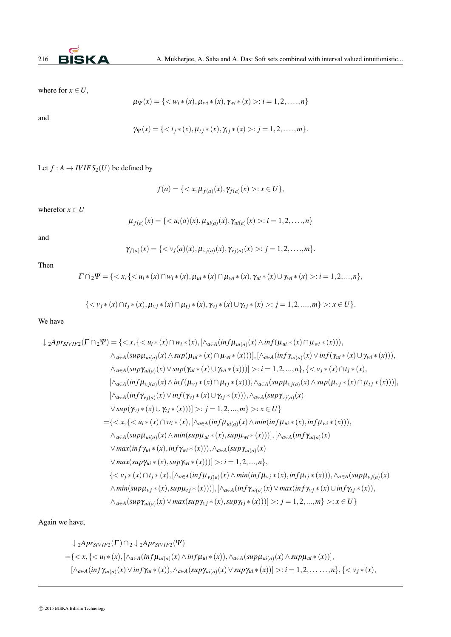

where for  $x \in U$ ,

$$
\mu_{\Psi}(x) = \{ \langle w_i * (x), \mu_{wi} * (x), \gamma_{wi} * (x) > : i = 1, 2, \dots, n \}
$$

and

$$
\gamma_{\Psi}(x) = \{ \langle t_j \ast (x), \mu_{tj} \ast (x), \gamma_{tj} \ast (x) \rangle : j = 1, 2, \dots, m \}.
$$

Let  $f : A \to I V I F S_2(U)$  be defined by

$$
f(a) = \{ \langle x, \mu_{f(a)}(x), \gamma_{f(a)}(x) > : x \in U \},\
$$

wherefor  $x \in U$ 

$$
\mu_{f(a)}(x) = \{ \langle u_i(a)(x), \mu_{ui(a)}(x), \gamma_{ui(a)}(x) > : i = 1, 2, \dots, n \}
$$

and

$$
\gamma_{f(a)}(x) = \{ \langle v_j(a)(x), \mu_{vj(a)}(x), \gamma_{vj(a)}(x) >: j = 1, 2, \dots, m \}.
$$

Then

$$
\Gamma \cap 2\Psi = \{ \langle x, \{ \langle u_i * (x) \cap w_i * (x), \mu_{ui} * (x) \cap \mu_{wi} * (x), \gamma_{ui} * (x) \cup \gamma_{wi} * (x) \rangle : i = 1, 2, ..., n \},
$$

$$
\{ \langle v_j * (x) \cap t_j * (x), \mu_{\nu j} * (x) \cap \mu_{tj} * (x), \gamma_{\nu j} * (x) \cup \gamma_{tj} * (x) >: j = 1, 2, \dots, m \} >: x \in U \}.
$$

We have

$$
\downarrow 2Apr_{SVIF2}(\Gamma \cap 2\Psi) = \{: i = 1, 2, ..., n\}, \{< v_j*(x) \cap t_j*(x),\newline [\wedge_{a \in A}(inf\mu_{v_j(a)}(x) \wedge inf(\mu_{v_j}*(x) \cap \mu_{t_j}*(x))))], \wedge_{a \in A}(sup\mu_{v_j(a)}(x) \wedge sup(\mu_{v_j}*(x)))]\},\newline [\wedge_{a \in A}(inf\gamma_{v_j(a)}(x) \vee inf(\gamma_{v_j}*(x) \cup \gamma_{t_j}*(x))))], \wedge_{a \in A}(sup\gamma_{v_j(a)}(x) \wedge sup(\gamma_{v_j}*(x)) \vee \gamma_{t_j}*(x))] >: j = 1, 2, ..., m\} >: x \in U\} \newline = \{: i = 1, 2, ..., n\}, \{< v_j*(x) \cap t_j*(x), [\wedge_{a \in A}(inf\mu_{v_j(a)}(x) \wedge min(inf\mu_{v_j}*(x), inf\mu_{t_j}*(x)))]\}, [\wedge_{a \in A}(sup\mu_{v_j(a)}(x) \vee max(inf\gamma_{vi}(x), x))], \wedge_{a \in A}(sup\mu_{v_j(a)}(x) \vee max(inf\gamma_{vi}(
$$

Again we have,

$$
\downarrow 2Apr_{SIVIF2}(\Gamma) \cap 2 \downarrow 2Apr_{SIVIF2}(\Psi)
$$
  
={i\*(x), [ $\land_{a \in A}(inf\mu_{ui(a)}(x) \land inf\mu_{ui}*(x)), \land_{a \in A}(sup\mu_{ui(a)}(x) \land sup\mu_{ui}*(x))],[ $\land_{a \in A}(inf\gamma_{ui(a)}(x) \lor inf\gamma_{ui}*(x)), \land_{a \in A}(sup\gamma_{ui(a)}(x) \lor sup\gamma_{ui}*(x))] >: i = 1, 2, ..., n}, {$$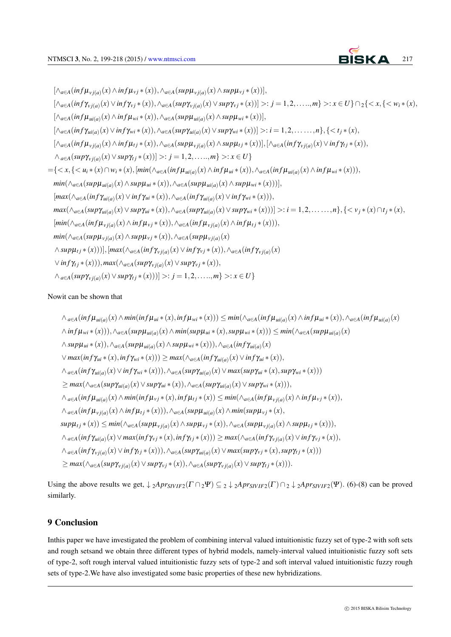$[\wedge_{a\in A}(inf\mu_{\nu j(a)}(x) \wedge inf\mu_{\nu j}*(x)),\wedge_{a\in A}(sup\mu_{\nu j(a)}(x) \wedge sup\mu_{\nu j}*(x))]$  $[\wedge_{a\in A}(inf\gamma_{vj(a)}(x)\vee inf\gamma_{vj}*(x)),\wedge_{a\in A}(sup\gamma_{vj(a)}(x)\vee sup\gamma_{vj}*(x))] >: j=1,2,\ldots,m\} >: x\in U\}\cap {}_{2}\{$  $[\wedge_{a\in A}(inf\mu_{ui(a)}(x) \wedge inf\mu_{wi}*(x)), \wedge_{a\in A}(sup\mu_{ui(a)}(x) \wedge sup\mu_{wi}*(x))]$  $[\wedge_{a\in A}(inf\gamma_{ui(a)}(x)\vee inf\gamma_{wi}*(x)),\wedge_{a\in A}(sup\gamma_{ui(a)}(x)\vee sup\gamma_{wi}*(x))] >: i=1,2,\ldots\dots,n\},\{$  $[\wedge_{a\in A}(inf\mu_{\nu j(a)}(x)\wedge inf\mu_{tj}*(x)),\wedge_{a\in A}(sup\mu_{\nu j(a)}(x)\wedge sup\mu_{tj}*(x))]$ ,  $[\wedge_{a\in A}(inf\gamma_{\nu j(a)}(x)\vee inf\gamma_{tj}*(x)),$  $\wedge_{a\in A} (sup\gamma_{vj(a)}(x)\vee sup\gamma_{tj}*(x))] >: j = 1,2,\ldots,m\} >: x \in U$  $=\{$  $min(\wedge_{a\in A} (sup\mu_{ui(a)}(x) \wedge sup\mu_{ui}*(x)),\wedge_{a\in A} (sup\mu_{ui(a)}(x) \wedge sup\mu_{wi}*(x))))],$  $[max(\wedge_{a\in A}(inf\gamma_{ui(a)}(x) \vee inf\gamma_{ui}*(x)),\wedge_{a\in A}(inf\gamma_{ui(a)}(x) \vee inf\gamma_{wi}*(x))),$  $max(\wedge_{a\in A}(sup\gamma_{ui(a)}(x)\vee sup\gamma_{ui}*(x)),\wedge_{a\in A}(sup\gamma_{ui(a)}(x)\vee sup\gamma_{wi}*(x))))>\colon i=1,2,\ldots\ldots,n\},\{<\nu_j*(x)\cap t_j*(x),\forall j\in I\}$  $[min(\wedge_{a\in A}(inf\mu_{vj(a)}(x) \wedge inf\mu_{vj}*(x)),\wedge_{a\in A}(inf\mu_{vj(a)}(x) \wedge inf\mu_{tj}*(x))),$ *min*(∧<sub>a∈A</sub>( $sup\mu_{vj(a)}(x) \land sup\mu_{vj}*(x)), \land_{a \in A}(sup\mu_{vj(a)}(x))$  $\wedge supp_{tj}*(x)))], [max(\wedge_{a\in A}(inf\gamma_{vj(a)}(x) \vee inf\gamma_{vj}*(x)),\wedge_{a\in A}(inf\gamma_{vj(a)}(x))]$  $∨$  *inf*γ<sub>*t*j</sub>  $*(x))$ )*,max*( $∧$ <sub>*a*∈A</sub>( $supγ$ <sub>*vj*(*a*)</sub>( $x) ∨ supγ$ <sub>*vj*</sub> $*(x))$ *,*  $\wedge_{a\in A} (sup\gamma_{vj(a)}(x)\vee sup\gamma_{tj}*(x)))\geq j=1,2,\ldots,m\} \geq: x\in U\}$ 

## Nowit can be shown that

```
\wedge_{a\in A}(inf\mu_{ui(a)}(x)\wedge min(inf\mu_{ui}*(x), inf\mu_{wi}*(x)))\leq min(\wedge_{a\in A}(inf\mu_{ui(a)}(x)\wedge inf\mu_{ui}*(x)),\wedge_{a\in A}(inf\mu_{ui(a)}(x))\wedge inf\mu_{wi}*(x))), \wedge_{a\in A}(sup\mu_{ui(a)}(x) \wedge min(sup\mu_{ui}*(x), sup\mu_{wi}*(x))) \leq min(\wedge_{a\in A}(sup\mu_{ui(a)}(x)))\wedge supp_{ui}*(x)), \wedge_{a\in A}(sup\mu_{ui(a)}(x) \wedge supp_{wi}*(x))), \wedge_{a\in A}(inf\gamma_{ui(a)}(x))\lor max(inf\gamma_{ui}*(x), inf\gamma_{wi}*(x))) \ge max(\land_{a\in A}(inf\gamma_{ui(a)}(x) \lor inf\gamma_{ui}*(x)),\wedge_{a\in A}(inf\gamma_{ui(a)}(x)\vee inf\gamma_{wi}*(x))), \wedge_{a\in A}(sup\gamma_{ui(a)}(x)\vee max(sup\gamma_{ui}*(x), sup\gamma_{wi}*(x)))\geq max(\wedge_{a\in A}(sup\gamma_{ui(a)}(x)\vee sup\gamma_{ui}*(x)),\wedge_{a\in A}(sup\gamma_{ui(a)}(x)\vee sup\gamma_{wi}*(x))),\wedge_{a\in A}(inf\mu_{ui(a)}(x) \wedge min(inf\mu_{vj}*(x), inf\mu_{tj}*(x)) \leq min(\wedge_{a\in A}(inf\mu_{vj(a)}(x) \wedge inf\mu_{vj}*(x)),\wedge_{a\in A}(inf\mu_{vj(a)}(x) \wedge inf\mu_{tj}*(x))), \wedge_{a\in A}(sup\mu_{ui(a)}(x) \wedge min(sup\mu_{vj}*(x)),sup\mu_{tj}*(x))\leq min(\wedge_{a\in A}(sup\mu_{vj(a)}(x)\wedge sup\mu_{vj}*(x)),\wedge_{a\in A}(sup\mu_{vj(a)}(x)\wedge sup\mu_{tj}*(x))),\wedge_{a\in A}(inf\gamma_{ui(a)}(x)\vee max(inf\gamma_{vj}*(x), inf\gamma_{tj}*(x)))\geq max(\wedge_{a\in A}(inf\gamma_{vj(a)}(x)\vee inf\gamma_{vj}*(x)),\wedge_{a\in A}(inf\gamma_{vj(a)}(x)\vee inf\gamma_{tj}*(x))), \wedge_{a\in A}(sup\gamma_{ui(a)}(x)\vee max(sup\gamma_{vj}*(x), sup\gamma_{tj}*(x)))\geq max(\wedge_{a\in A}(sup\gamma_{vj(a)}(x)\vee sup\gamma_{vj}*(x)),\wedge_{a\in A}(sup\gamma_{vj(a)}(x)\vee sup\gamma_{tj}*(x))).
```
Using the above results we get,  $\downarrow$  2*Apr<sub>SIVIF2</sub>*( $\Gamma \cap 2\Psi$ )  $\subset$  2  $\downarrow$  2*Apr<sub>SIVIF2</sub>*( $\Gamma$ )  $\cap$  2  $\downarrow$  2*Apr<sub>SIVIF2</sub>*( $\Psi$ )*.* (6)-(8) can be proved similarly.

# 9 Conclusion

Inthis paper we have investigated the problem of combining interval valued intuitionistic fuzzy set of type-2 with soft sets and rough setsand we obtain three different types of hybrid models, namely-interval valued intuitionistic fuzzy soft sets of type-2, soft rough interval valued intuitionistic fuzzy sets of type-2 and soft interval valued intuitionistic fuzzy rough sets of type-2.We have also investigated some basic properties of these new hybridizations.